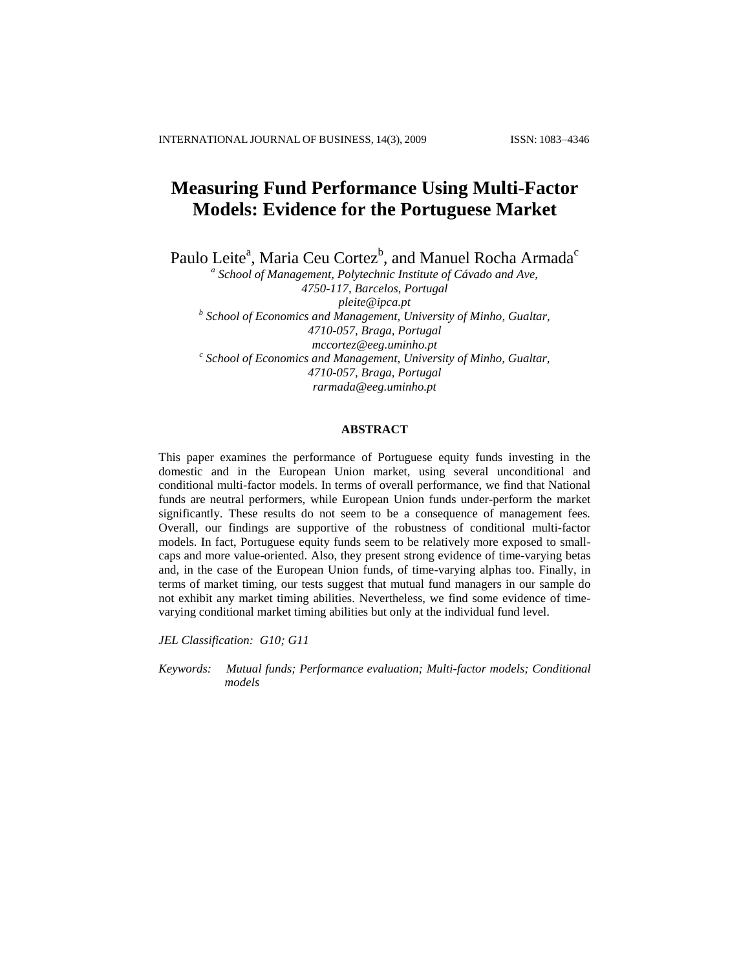# **Measuring Fund Performance Using Multi-Factor Models: Evidence for the Portuguese Market**

Paulo Leite<sup>a</sup>, Maria Ceu Cortez<sup>b</sup>, and Manuel Rocha Armada<sup>c</sup>

*a School of Management, Polytechnic Institute of Cávado and Ave, 4750-117, Barcelos, Portugal [pleite@ipca.pt](mailto:pleite@ipca.pt) b School of Economics and Management, University of Minho, Gualtar, 4710-057, Braga, Portugal [mccortez@eeg.uminho.pt](mailto:mccortez@eeg.uminho.pt) c School of Economics and Management, University of Minho, Gualtar, 4710-057, Braga, Portugal [rarmada@eeg.uminho.pt](mailto:rarmada@eeg.uminho.pt)*

# **ABSTRACT**

This paper examines the performance of Portuguese equity funds investing in the domestic and in the European Union market, using several unconditional and conditional multi-factor models. In terms of overall performance, we find that National funds are neutral performers, while European Union funds under-perform the market significantly. These results do not seem to be a consequence of management fees*.* Overall, our findings are supportive of the robustness of conditional multi-factor models. In fact, Portuguese equity funds seem to be relatively more exposed to smallcaps and more value-oriented. Also, they present strong evidence of time-varying betas and, in the case of the European Union funds, of time-varying alphas too. Finally, in terms of market timing, our tests suggest that mutual fund managers in our sample do not exhibit any market timing abilities. Nevertheless, we find some evidence of timevarying conditional market timing abilities but only at the individual fund level.

*JEL Classification: G10; G11*

*Keywords: Mutual funds; Performance evaluation; Multi-factor models; Conditional models*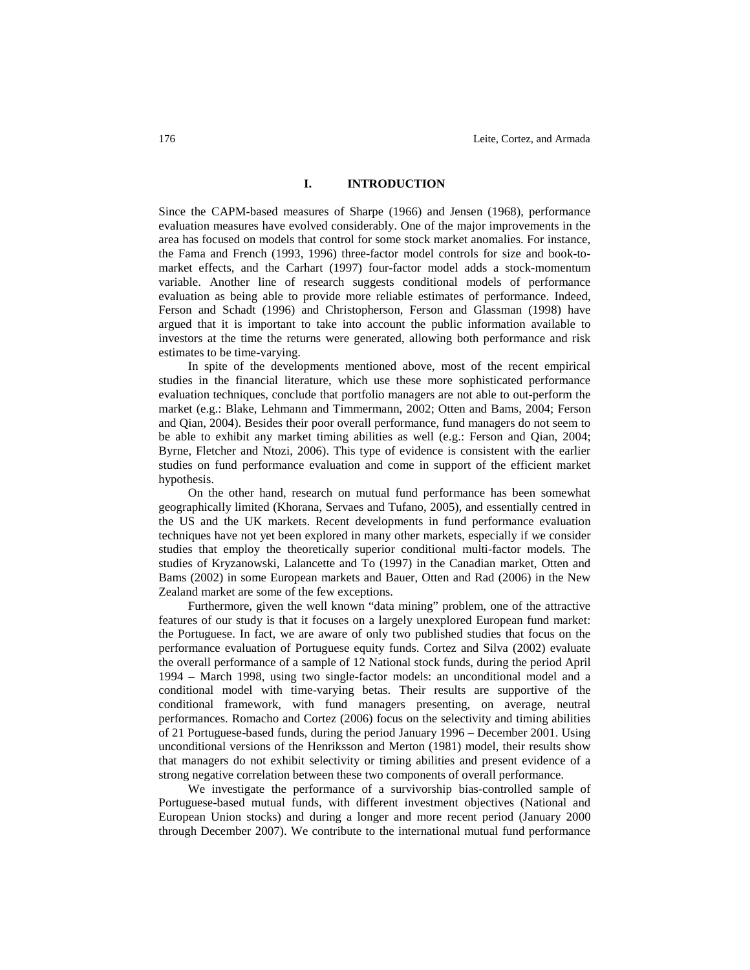# **I. INTRODUCTION**

Since the CAPM-based measures of Sharpe (1966) and Jensen (1968), performance evaluation measures have evolved considerably. One of the major improvements in the area has focused on models that control for some stock market anomalies. For instance, the Fama and French (1993, 1996) three-factor model controls for size and book-tomarket effects, and the Carhart (1997) four-factor model adds a stock-momentum variable. Another line of research suggests conditional models of performance evaluation as being able to provide more reliable estimates of performance. Indeed, Ferson and Schadt (1996) and Christopherson, Ferson and Glassman (1998) have argued that it is important to take into account the public information available to investors at the time the returns were generated, allowing both performance and risk estimates to be time-varying.

In spite of the developments mentioned above, most of the recent empirical studies in the financial literature, which use these more sophisticated performance evaluation techniques, conclude that portfolio managers are not able to out-perform the market (e.g.: Blake, Lehmann and Timmermann, 2002; Otten and Bams, 2004; Ferson and Qian, 2004). Besides their poor overall performance, fund managers do not seem to be able to exhibit any market timing abilities as well (e.g.: Ferson and Qian, 2004; Byrne, Fletcher and Ntozi, 2006). This type of evidence is consistent with the earlier studies on fund performance evaluation and come in support of the efficient market hypothesis.

On the other hand, research on mutual fund performance has been somewhat geographically limited (Khorana, Servaes and Tufano, 2005), and essentially centred in the US and the UK markets. Recent developments in fund performance evaluation techniques have not yet been explored in many other markets, especially if we consider studies that employ the theoretically superior conditional multi-factor models. The studies of Kryzanowski, Lalancette and To (1997) in the Canadian market, Otten and Bams (2002) in some European markets and Bauer, Otten and Rad (2006) in the New Zealand market are some of the few exceptions.

Furthermore, given the well known "data mining" problem, one of the attractive features of our study is that it focuses on a largely unexplored European fund market: the Portuguese. In fact, we are aware of only two published studies that focus on the performance evaluation of Portuguese equity funds. Cortez and Silva (2002) evaluate the overall performance of a sample of 12 National stock funds, during the period April 1994 – March 1998, using two single-factor models: an unconditional model and a conditional model with time-varying betas. Their results are supportive of the conditional framework, with fund managers presenting, on average, neutral performances. Romacho and Cortez (2006) focus on the selectivity and timing abilities of 21 Portuguese-based funds, during the period January 1996 – December 2001. Using unconditional versions of the Henriksson and Merton (1981) model, their results show that managers do not exhibit selectivity or timing abilities and present evidence of a strong negative correlation between these two components of overall performance.

We investigate the performance of a survivorship bias-controlled sample of Portuguese-based mutual funds, with different investment objectives (National and European Union stocks) and during a longer and more recent period (January 2000 through December 2007). We contribute to the international mutual fund performance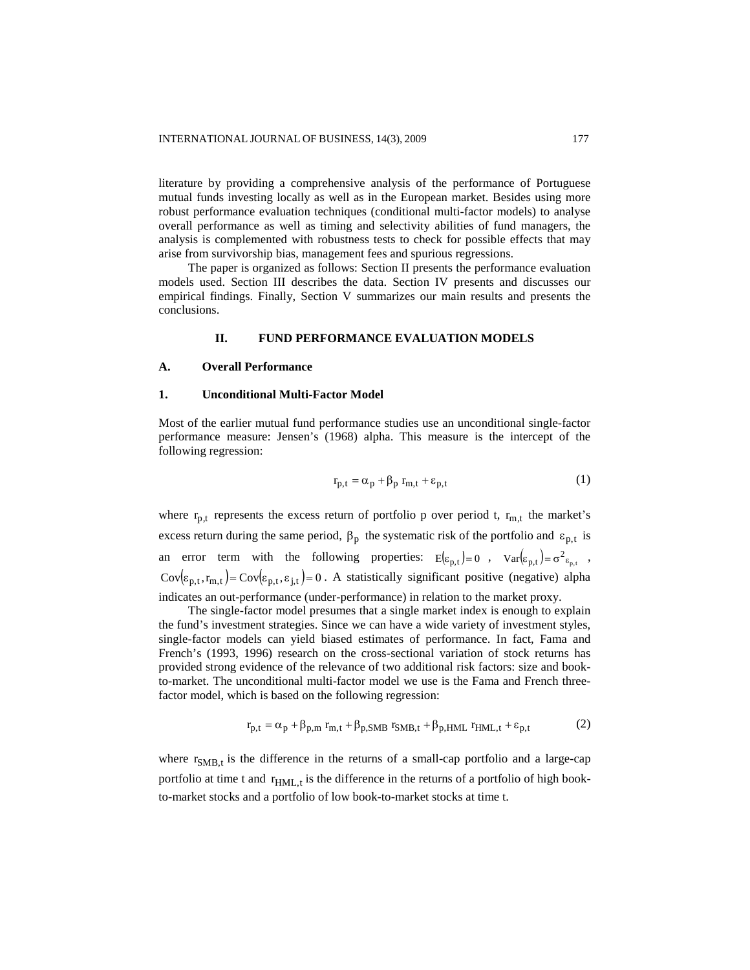literature by providing a comprehensive analysis of the performance of Portuguese mutual funds investing locally as well as in the European market. Besides using more robust performance evaluation techniques (conditional multi-factor models) to analyse overall performance as well as timing and selectivity abilities of fund managers, the analysis is complemented with robustness tests to check for possible effects that may arise from survivorship bias, management fees and spurious regressions.

The paper is organized as follows: Section II presents the performance evaluation models used. Section III describes the data. Section IV presents and discusses our empirical findings. Finally, Section V summarizes our main results and presents the conclusions.

# **II. FUND PERFORMANCE EVALUATION MODELS**

#### **A. Overall Performance**

### **1. Unconditional Multi-Factor Model**

Most of the earlier mutual fund performance studies use an unconditional single-factor performance measure: Jensen's (1968) alpha. This measure is the intercept of the following regression:

$$
r_{p,t} = \alpha_p + \beta_p r_{m,t} + \varepsilon_{p,t}
$$
 (1)

where  $r_{p,t}$  represents the excess return of portfolio p over period t,  $r_{m,t}$  the market's excess return during the same period,  $\beta_p$  the systematic risk of the portfolio and  $\varepsilon_{p,t}$  is an error term with the following properties:  $E(\varepsilon_{p,t})=0$ ,  $Var(\varepsilon_{p,t})=\sigma^2 \varepsilon_{p,t}$ ,  $Cov(\varepsilon_{p,t}, r_{m,t}) = Cov(\varepsilon_{p,t}, \varepsilon_{j,t}) = 0$ . A statistically significant positive (negative) alpha indicates an out-performance (under-performance) in relation to the market proxy.

The single-factor model presumes that a single market index is enough to explain the fund's investment strategies. Since we can have a wide variety of investment styles, single-factor models can yield biased estimates of performance. In fact, Fama and French's (1993, 1996) research on the cross-sectional variation of stock returns has provided strong evidence of the relevance of two additional risk factors: size and bookto-market. The unconditional multi-factor model we use is the Fama and French threefactor model, which is based on the following regression:

$$
r_{p,t} = \alpha_p + \beta_{p,m} r_{m,t} + \beta_{p,SMB} r_{SMB,t} + \beta_{p,HML} r_{HML,t} + \varepsilon_{p,t}
$$
 (2)

where  $r_{SMB,t}$  is the difference in the returns of a small-cap portfolio and a large-cap portfolio at time t and  $r_{HML,t}$  is the difference in the returns of a portfolio of high bookto-market stocks and a portfolio of low book-to-market stocks at time t.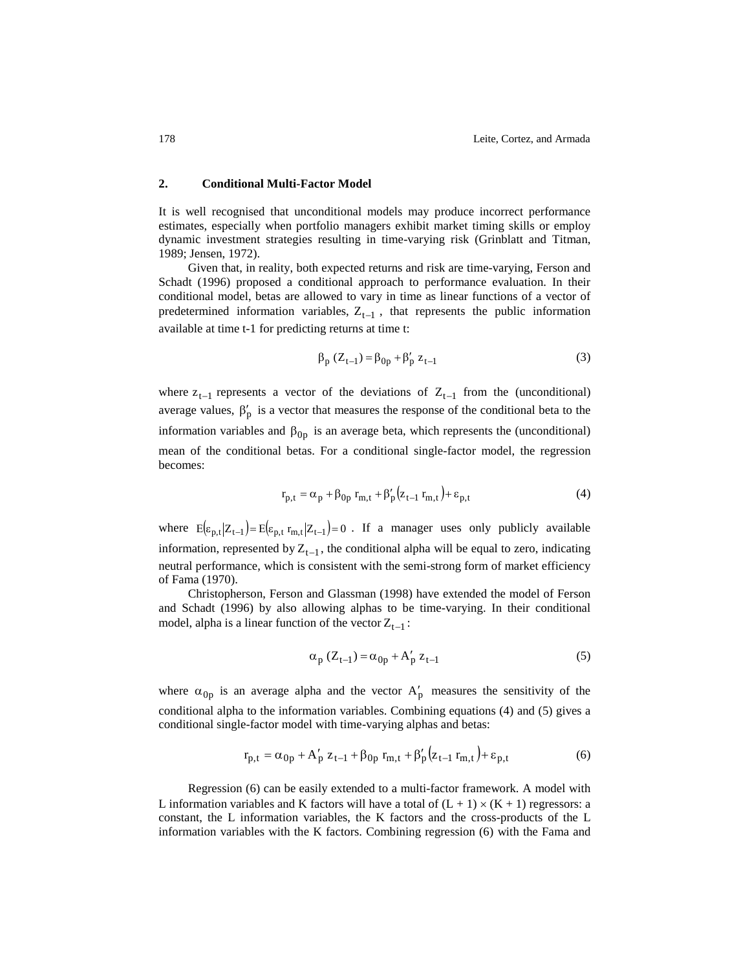# **2. Conditional Multi-Factor Model**

It is well recognised that unconditional models may produce incorrect performance estimates, especially when portfolio managers exhibit market timing skills or employ dynamic investment strategies resulting in time-varying risk (Grinblatt and Titman, 1989; Jensen, 1972).

Given that, in reality, both expected returns and risk are time-varying, Ferson and Schadt (1996) proposed a conditional approach to performance evaluation. In their conditional model, betas are allowed to vary in time as linear functions of a vector of predetermined information variables,  $Z_{t-1}$ , that represents the public information available at time t-1 for predicting returns at time t:

$$
\beta_p (Z_{t-1}) = \beta_{0p} + \beta'_p z_{t-1}
$$
 (3)

where  $z_{t-1}$  represents a vector of the deviations of  $Z_{t-1}$  from the (unconditional) average values,  $\beta'_{p}$  is a vector that measures the response of the conditional beta to the information variables and  $\beta_{0p}$  is an average beta, which represents the (unconditional) mean of the conditional betas. For a conditional single-factor model, the regression becomes:

$$
\mathbf{r}_{p,t} = \alpha_p + \beta_{0p} \mathbf{r}_{m,t} + \beta_p'(z_{t-1} \mathbf{r}_{m,t}) + \varepsilon_{p,t} \tag{4}
$$

where  $E(\epsilon_{p,t} | Z_{t-1}) = E(\epsilon_{p,t} r_{m,t} | Z_{t-1}) = 0$ . If a manager uses only publicly available information, represented by  $Z_{t-1}$ , the conditional alpha will be equal to zero, indicating neutral performance, which is consistent with the semi-strong form of market efficiency of Fama (1970).

Christopherson, Ferson and Glassman (1998) have extended the model of Ferson and Schadt (1996) by also allowing alphas to be time-varying. In their conditional model, alpha is a linear function of the vector  $Z_{t-1}$ :

$$
\alpha_{\mathbf{p}} \left( Z_{t-1} \right) = \alpha_{0\mathbf{p}} + A_{\mathbf{p}}' \mathbf{z}_{t-1} \tag{5}
$$

where  $\alpha_{0p}$  is an average alpha and the vector  $A'_p$  measures the sensitivity of the conditional alpha to the information variables. Combining equations (4) and (5) gives a conditional single-factor model with time-varying alphas and betas:

$$
r_{p,t} = \alpha_{0p} + A'_{p} z_{t-1} + \beta_{0p} r_{m,t} + \beta'_{p} (z_{t-1} r_{m,t}) + \varepsilon_{p,t}
$$
(6)

Regression (6) can be easily extended to a multi-factor framework. A model with L information variables and K factors will have a total of  $(L + 1) \times (K + 1)$  regressors: a constant, the L information variables, the K factors and the cross-products of the L information variables with the K factors. Combining regression (6) with the Fama and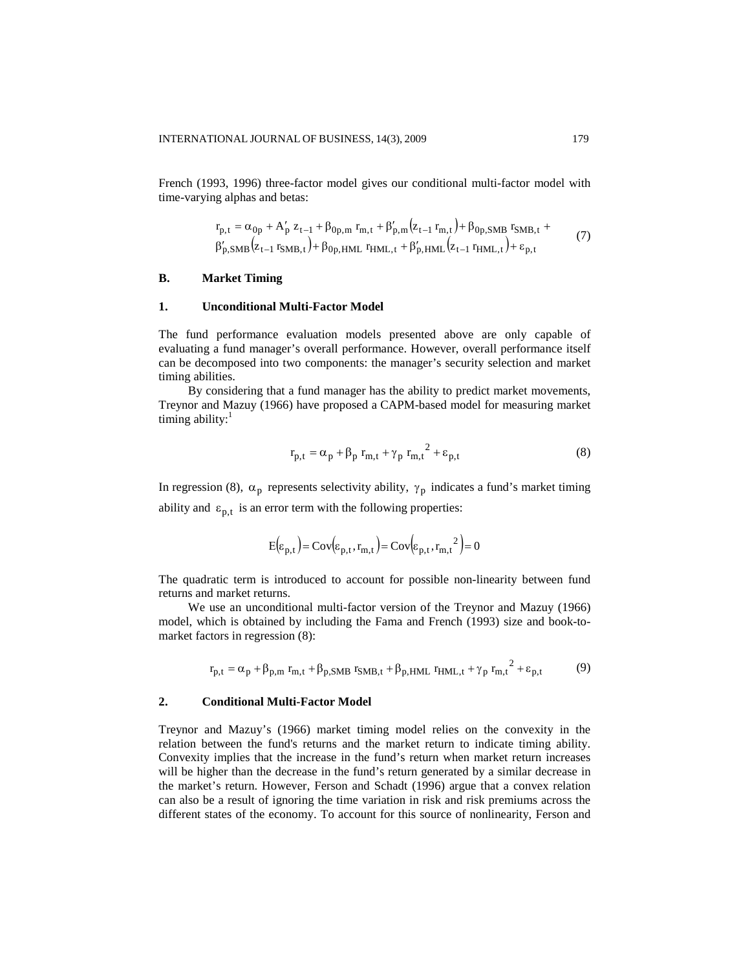French (1993, 1996) three-factor model gives our conditional multi-factor model with time-varying alphas and betas:

$$
r_{p,t} = \alpha_{0p} + A'_{p} z_{t-1} + \beta_{0p,m} r_{m,t} + \beta'_{p,m} (z_{t-1} r_{m,t}) + \beta_{0p, SMB} r_{SMB,t} +
$$
  
\n
$$
\beta'_{p, SMB} (z_{t-1} r_{SMB,t}) + \beta_{0p, HML} r_{HML,t} + \beta'_{p, HML} (z_{t-1} r_{HML,t}) + \varepsilon_{p,t}
$$
\n(7)

#### **B. Market Timing**

# **1. Unconditional Multi-Factor Model**

The fund performance evaluation models presented above are only capable of evaluating a fund manager's overall performance. However, overall performance itself can be decomposed into two components: the manager's security selection and market timing abilities.

By considering that a fund manager has the ability to predict market movements, Treynor and Mazuy (1966) have proposed a CAPM-based model for measuring market timing ability:<sup>1</sup>

$$
\mathbf{r}_{\mathbf{p},t} = \alpha_{\mathbf{p}} + \beta_{\mathbf{p}} \mathbf{r}_{\mathbf{m},t} + \gamma_{\mathbf{p}} \mathbf{r}_{\mathbf{m},t}^{2} + \varepsilon_{\mathbf{p},t}
$$
(8)

In regression (8),  $\alpha_p$  represents selectivity ability,  $\gamma_p$  indicates a fund's market timing ability and  $\varepsilon_{p,t}$  is an error term with the following properties:

$$
E(\varepsilon_{p,t}) = Cov(\varepsilon_{p,t}, r_{m,t}) = Cov(\varepsilon_{p,t}, r_{m,t}^2) = 0
$$

The quadratic term is introduced to account for possible non-linearity between fund returns and market returns.

We use an unconditional multi-factor version of the Treynor and Mazuy (1966) model, which is obtained by including the Fama and French (1993) size and book-tomarket factors in regression (8):

$$
r_{p,t} = \alpha_p + \beta_{p,m} r_{m,t} + \beta_{p,SMB} r_{SMB,t} + \beta_{p,HML} r_{HML,t} + \gamma_p r_{m,t}^2 + \varepsilon_{p,t}
$$
(9)

#### **2. Conditional Multi-Factor Model**

Treynor and Mazuy's (1966) market timing model relies on the convexity in the relation between the fund's returns and the market return to indicate timing ability. Convexity implies that the increase in the fund's return when market return increases will be higher than the decrease in the fund's return generated by a similar decrease in the market's return. However, Ferson and Schadt (1996) argue that a convex relation can also be a result of ignoring the time variation in risk and risk premiums across the different states of the economy. To account for this source of nonlinearity, Ferson and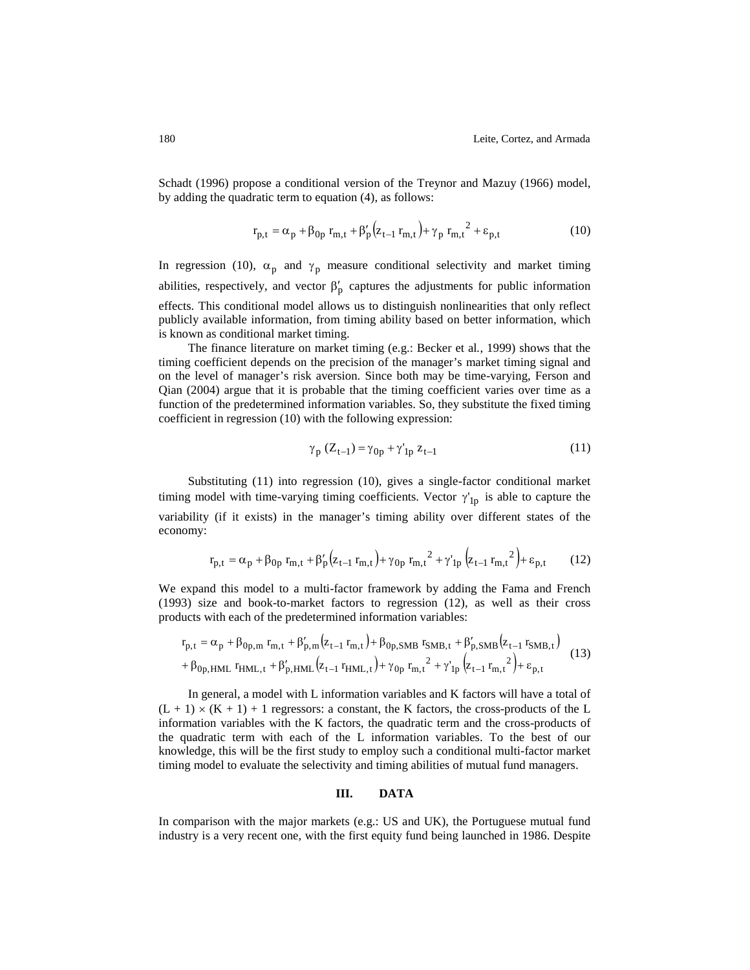Schadt (1996) propose a conditional version of the Treynor and Mazuy (1966) model, by adding the quadratic term to equation (4), as follows:

$$
r_{p,t} = \alpha_p + \beta_{0p} r_{m,t} + \beta'_p (z_{t-1} r_{m,t}) + \gamma_p r_{m,t}^2 + \varepsilon_{p,t}
$$
 (10)

In regression (10),  $\alpha_p$  and  $\gamma_p$  measure conditional selectivity and market timing abilities, respectively, and vector  $\beta'_{p}$  captures the adjustments for public information effects. This conditional model allows us to distinguish nonlinearities that only reflect publicly available information, from timing ability based on better information, which is known as conditional market timing.

The finance literature on market timing (e.g.: Becker et al*.*, 1999) shows that the timing coefficient depends on the precision of the manager's market timing signal and on the level of manager's risk aversion. Since both may be time-varying, Ferson and Qian (2004) argue that it is probable that the timing coefficient varies over time as a function of the predetermined information variables. So, they substitute the fixed timing coefficient in regression (10) with the following expression:

$$
\gamma_p (Z_{t-1}) = \gamma_{0p} + \gamma'_{1p} z_{t-1}
$$
\n(11)

Substituting (11) into regression (10), gives a single-factor conditional market timing model with time-varying timing coefficients. Vector  $\gamma'_{1p}$  is able to capture the variability (if it exists) in the manager's timing ability over different states of the economy:

$$
r_{p,t} = \alpha_p + \beta_{0p} r_{m,t} + \beta_p'(z_{t-1} r_{m,t}) + \gamma_{0p} r_{m,t}^2 + \gamma_{1p}'(z_{t-1} r_{m,t}^2) + \varepsilon_{p,t} \tag{12}
$$

We expand this model to a multi-factor framework by adding the Fama and French (1993) size and book-to-market factors to regression (12), as well as their cross products with each of the predetermined information variables:

$$
r_{p,t} = \alpha_p + \beta_{0p,m} r_{m,t} + \beta'_{p,m} (z_{t-1} r_{m,t}) + \beta_{0p,SMB} r_{SMB,t} + \beta'_{p,SMB} (z_{t-1} r_{SMB,t})
$$
  
+  $\beta_{0p,HML} r_{HML,t} + \beta'_{p,HML} (z_{t-1} r_{HML,t}) + \gamma_{0p} r_{m,t}^2 + \gamma'_{1p} (z_{t-1} r_{m,t}^2) + \varepsilon_{p,t}$  (13)

In general, a model with L information variables and K factors will have a total of  $(L + 1) \times (K + 1) + 1$  regressors: a constant, the K factors, the cross-products of the L information variables with the K factors, the quadratic term and the cross-products of the quadratic term with each of the L information variables. To the best of our knowledge, this will be the first study to employ such a conditional multi-factor market timing model to evaluate the selectivity and timing abilities of mutual fund managers.

#### **III. DATA**

In comparison with the major markets (e.g.: US and UK), the Portuguese mutual fund industry is a very recent one, with the first equity fund being launched in 1986. Despite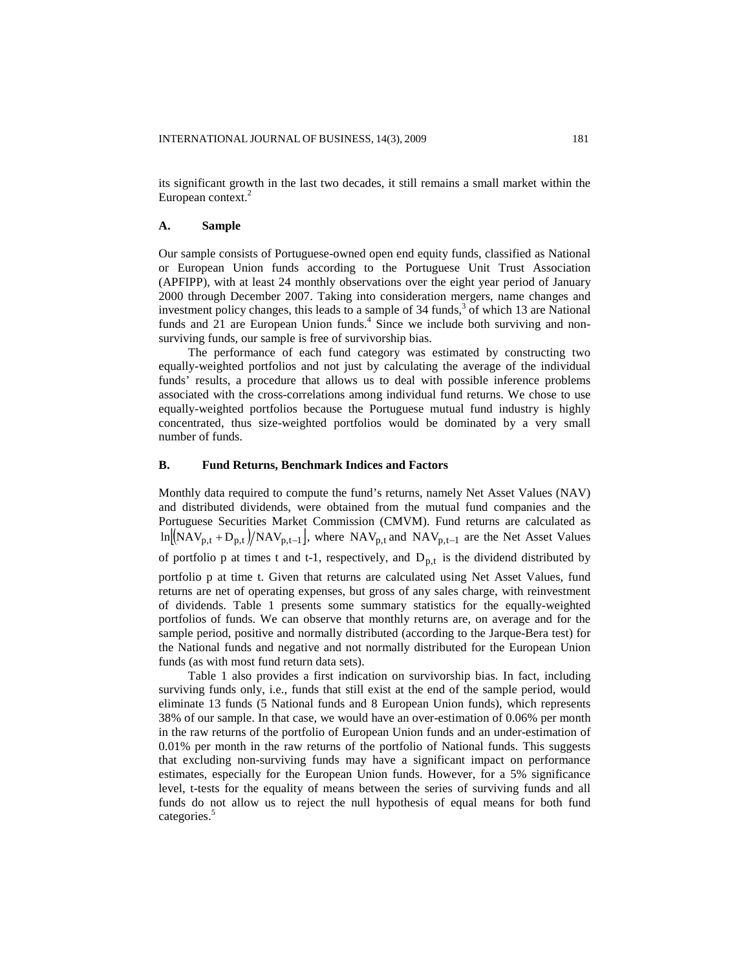its significant growth in the last two decades, it still remains a small market within the European context.<sup>2</sup>

#### **A. Sample**

Our sample consists of Portuguese-owned open end equity funds, classified as National or European Union funds according to the Portuguese Unit Trust Association (APFIPP), with at least 24 monthly observations over the eight year period of January 2000 through December 2007. Taking into consideration mergers, name changes and investment policy changes, this leads to a sample of 34 funds, 3 of which 13 are National funds and  $21$  are European Union funds.<sup>4</sup> Since we include both surviving and nonsurviving funds, our sample is free of survivorship bias.

The performance of each fund category was estimated by constructing two equally-weighted portfolios and not just by calculating the average of the individual funds' results, a procedure that allows us to deal with possible inference problems associated with the cross-correlations among individual fund returns. We chose to use equally-weighted portfolios because the Portuguese mutual fund industry is highly concentrated, thus size-weighted portfolios would be dominated by a very small number of funds.

# **B. Fund Returns, Benchmark Indices and Factors**

Monthly data required to compute the fund's returns, namely Net Asset Values (NAV) and distributed dividends, were obtained from the mutual fund companies and the Portuguese Securities Market Commission (CMVM). Fund returns are calculated as  $\ln [NAV_{p,t} + D_{p,t}] / NAV_{p,t-1}$ , where  $NAV_{p,t}$  and  $NAV_{p,t-1}$  are the Net Asset Values of portfolio  $p$  at times t and t-1, respectively, and  $D_{p,t}$  is the dividend distributed by

portfolio p at time t. Given that returns are calculated using Net Asset Values, fund returns are net of operating expenses, but gross of any sales charge, with reinvestment of dividends. Table 1 presents some summary statistics for the equally-weighted portfolios of funds. We can observe that monthly returns are, on average and for the sample period, positive and normally distributed (according to the Jarque-Bera test) for the National funds and negative and not normally distributed for the European Union funds (as with most fund return data sets).

Table 1 also provides a first indication on survivorship bias. In fact, including surviving funds only, i.e., funds that still exist at the end of the sample period, would eliminate 13 funds (5 National funds and 8 European Union funds), which represents 38% of our sample. In that case, we would have an over-estimation of 0.06% per month in the raw returns of the portfolio of European Union funds and an under-estimation of 0.01% per month in the raw returns of the portfolio of National funds. This suggests that excluding non-surviving funds may have a significant impact on performance estimates, especially for the European Union funds. However, for a 5% significance level, t-tests for the equality of means between the series of surviving funds and all funds do not allow us to reject the null hypothesis of equal means for both fund categories.<sup>5</sup>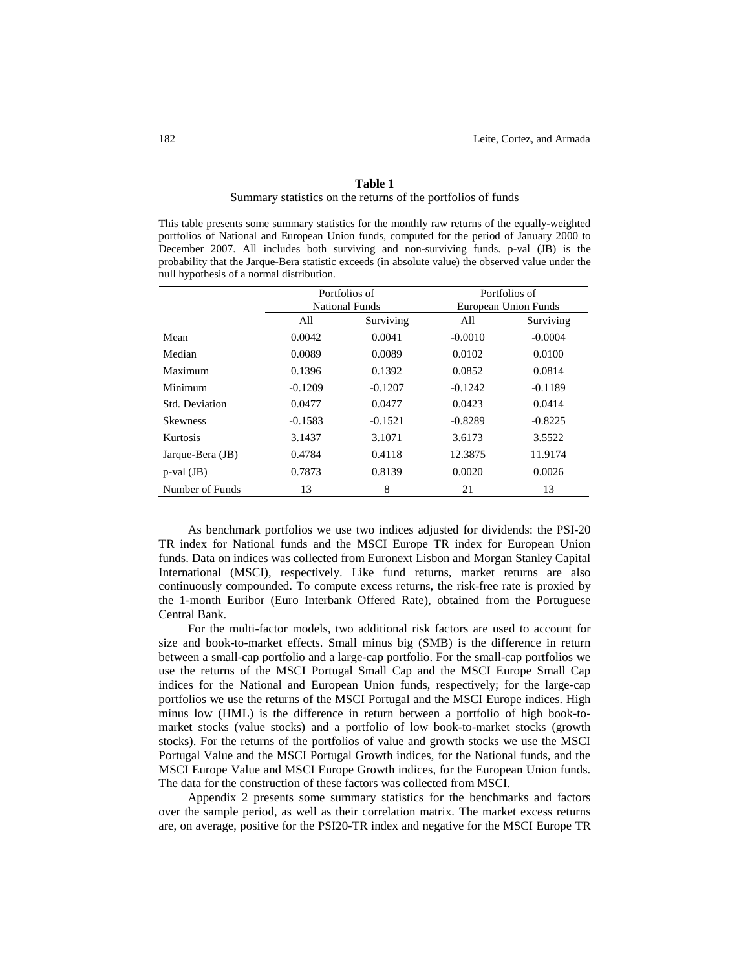#### **Table 1**

#### Summary statistics on the returns of the portfolios of funds

This table presents some summary statistics for the monthly raw returns of the equally-weighted portfolios of National and European Union funds, computed for the period of January 2000 to December 2007. All includes both surviving and non-surviving funds. p-val (JB) is the probability that the Jarque-Bera statistic exceeds (in absolute value) the observed value under the null hypothesis of a normal distribution.

|                  |           | Portfolios of         |           | Portfolios of        |
|------------------|-----------|-----------------------|-----------|----------------------|
|                  |           | <b>National Funds</b> |           | European Union Funds |
|                  | All       | Surviving             | All       | Surviving            |
| Mean             | 0.0042    | 0.0041                | $-0.0010$ | $-0.0004$            |
| Median           | 0.0089    | 0.0089                | 0.0102    | 0.0100               |
| Maximum          | 0.1396    | 0.1392                | 0.0852    | 0.0814               |
| Minimum          | $-0.1209$ | $-0.1207$             | $-0.1242$ | $-0.1189$            |
| Std. Deviation   | 0.0477    | 0.0477                | 0.0423    | 0.0414               |
| <b>Skewness</b>  | $-0.1583$ | $-0.1521$             | $-0.8289$ | $-0.8225$            |
| Kurtosis         | 3.1437    | 3.1071                | 3.6173    | 3.5522               |
| Jarque-Bera (JB) | 0.4784    | 0.4118                | 12.3875   | 11.9174              |
| $p$ -val (JB)    | 0.7873    | 0.8139                | 0.0020    | 0.0026               |
| Number of Funds  | 13        | 8                     | 21        | 13                   |

As benchmark portfolios we use two indices adjusted for dividends: the PSI-20 TR index for National funds and the MSCI Europe TR index for European Union funds. Data on indices was collected from Euronext Lisbon and Morgan Stanley Capital International (MSCI), respectively. Like fund returns, market returns are also continuously compounded. To compute excess returns, the risk-free rate is proxied by the 1-month Euribor (Euro Interbank Offered Rate), obtained from the Portuguese Central Bank.

For the multi-factor models, two additional risk factors are used to account for size and book-to-market effects. Small minus big (SMB) is the difference in return between a small-cap portfolio and a large-cap portfolio. For the small-cap portfolios we use the returns of the MSCI Portugal Small Cap and the MSCI Europe Small Cap indices for the National and European Union funds, respectively; for the large-cap portfolios we use the returns of the MSCI Portugal and the MSCI Europe indices. High minus low (HML) is the difference in return between a portfolio of high book-tomarket stocks (value stocks) and a portfolio of low book-to-market stocks (growth stocks). For the returns of the portfolios of value and growth stocks we use the MSCI Portugal Value and the MSCI Portugal Growth indices, for the National funds, and the MSCI Europe Value and MSCI Europe Growth indices, for the European Union funds. The data for the construction of these factors was collected from MSCI.

Appendix 2 presents some summary statistics for the benchmarks and factors over the sample period, as well as their correlation matrix. The market excess returns are, on average, positive for the PSI20-TR index and negative for the MSCI Europe TR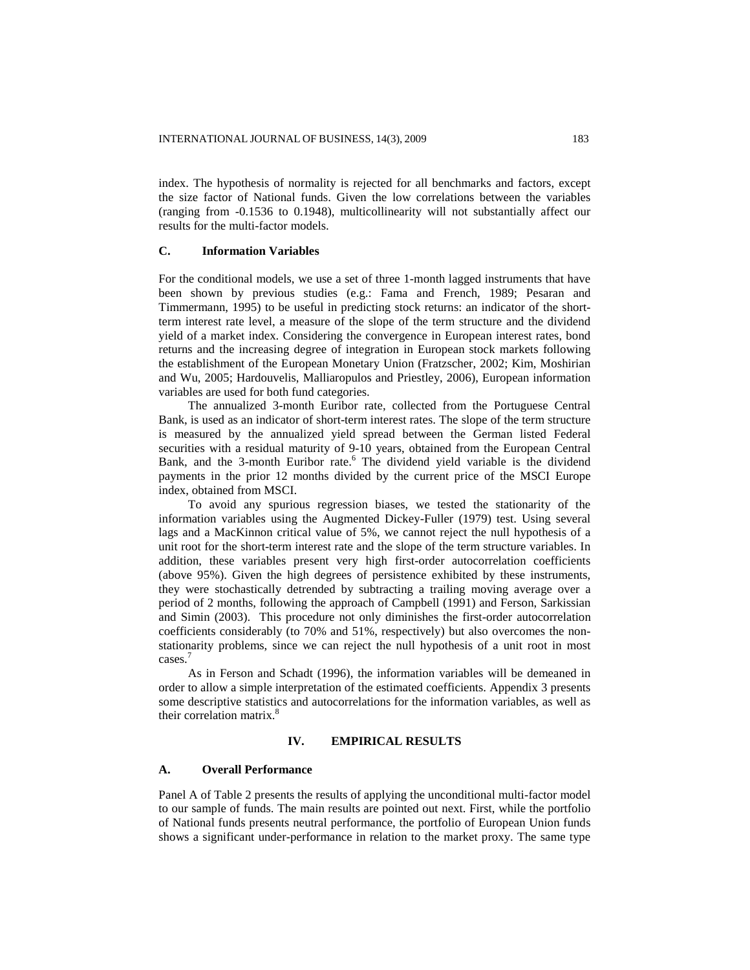index. The hypothesis of normality is rejected for all benchmarks and factors, except the size factor of National funds. Given the low correlations between the variables (ranging from -0.1536 to 0.1948), multicollinearity will not substantially affect our results for the multi-factor models.

## **C. Information Variables**

For the conditional models, we use a set of three 1-month lagged instruments that have been shown by previous studies (e.g.: Fama and French, 1989; Pesaran and Timmermann, 1995) to be useful in predicting stock returns: an indicator of the shortterm interest rate level, a measure of the slope of the term structure and the dividend yield of a market index. Considering the convergence in European interest rates, bond returns and the increasing degree of integration in European stock markets following the establishment of the European Monetary Union (Fratzscher, 2002; Kim, Moshirian and Wu, 2005; Hardouvelis, Malliaropulos and Priestley, 2006), European information variables are used for both fund categories.

The annualized 3-month Euribor rate, collected from the Portuguese Central Bank, is used as an indicator of short-term interest rates. The slope of the term structure is measured by the annualized yield spread between the German listed Federal securities with a residual maturity of 9-10 years, obtained from the European Central Bank, and the 3-month Euribor rate.<sup>6</sup> The dividend yield variable is the dividend payments in the prior 12 months divided by the current price of the MSCI Europe index, obtained from MSCI.

To avoid any spurious regression biases, we tested the stationarity of the information variables using the Augmented Dickey-Fuller (1979) test. Using several lags and a MacKinnon critical value of 5%, we cannot reject the null hypothesis of a unit root for the short-term interest rate and the slope of the term structure variables. In addition, these variables present very high first-order autocorrelation coefficients (above 95%). Given the high degrees of persistence exhibited by these instruments, they were stochastically detrended by subtracting a trailing moving average over a period of 2 months, following the approach of Campbell (1991) and Ferson, Sarkissian and Simin (2003). This procedure not only diminishes the first-order autocorrelation coefficients considerably (to 70% and 51%, respectively) but also overcomes the nonstationarity problems, since we can reject the null hypothesis of a unit root in most cases.<sup>7</sup>

As in Ferson and Schadt (1996), the information variables will be demeaned in order to allow a simple interpretation of the estimated coefficients. Appendix 3 presents some descriptive statistics and autocorrelations for the information variables, as well as their correlation matrix. 8

# **IV. EMPIRICAL RESULTS**

#### **A. Overall Performance**

Panel A of Table 2 presents the results of applying the unconditional multi-factor model to our sample of funds. The main results are pointed out next. First, while the portfolio of National funds presents neutral performance, the portfolio of European Union funds shows a significant under-performance in relation to the market proxy. The same type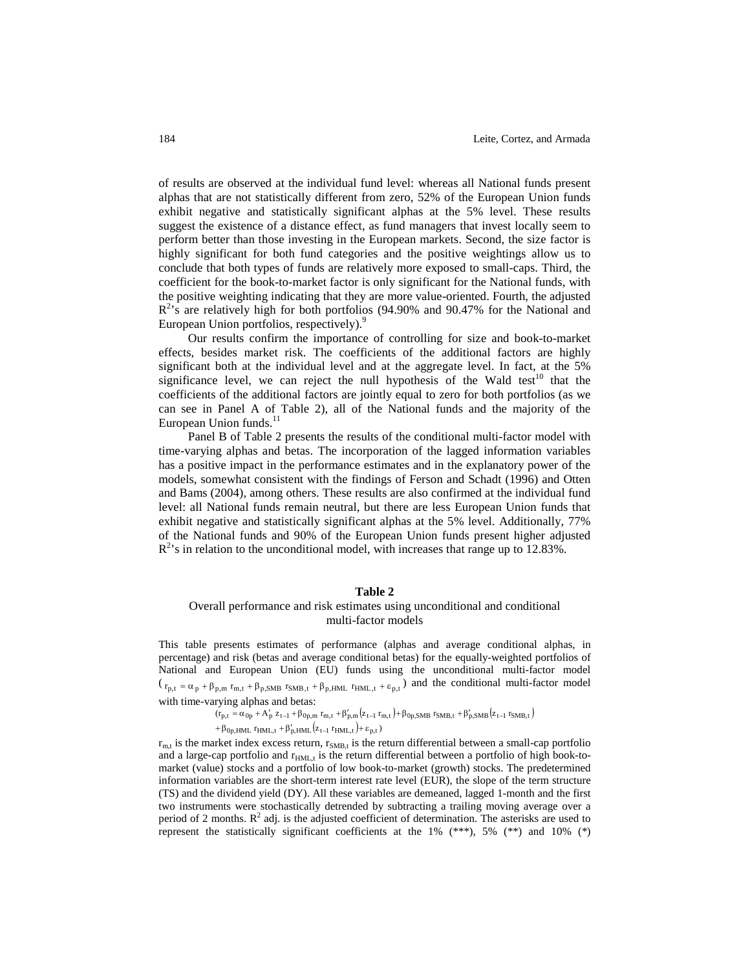of results are observed at the individual fund level: whereas all National funds present alphas that are not statistically different from zero, 52% of the European Union funds exhibit negative and statistically significant alphas at the 5% level. These results suggest the existence of a distance effect, as fund managers that invest locally seem to perform better than those investing in the European markets. Second, the size factor is highly significant for both fund categories and the positive weightings allow us to conclude that both types of funds are relatively more exposed to small-caps. Third, the coefficient for the book-to-market factor is only significant for the National funds, with the positive weighting indicating that they are more value-oriented. Fourth, the adjusted R<sup>2</sup>'s are relatively high for both portfolios (94.90% and 90.47% for the National and European Union portfolios, respectively).<sup>9</sup>

Our results confirm the importance of controlling for size and book-to-market effects, besides market risk. The coefficients of the additional factors are highly significant both at the individual level and at the aggregate level. In fact, at the 5% significance level, we can reject the null hypothesis of the Wald test<sup>10</sup> that the coefficients of the additional factors are jointly equal to zero for both portfolios (as we can see in Panel A of Table 2), all of the National funds and the majority of the European Union funds.<sup>11</sup>

Panel B of Table 2 presents the results of the conditional multi-factor model with time-varying alphas and betas. The incorporation of the lagged information variables has a positive impact in the performance estimates and in the explanatory power of the models, somewhat consistent with the findings of Ferson and Schadt (1996) and Otten and Bams (2004), among others. These results are also confirmed at the individual fund level: all National funds remain neutral, but there are less European Union funds that exhibit negative and statistically significant alphas at the 5% level. Additionally, 77% of the National funds and 90% of the European Union funds present higher adjusted  $R<sup>2</sup>$ 's in relation to the unconditional model, with increases that range up to 12.83%.

#### **Table 2**

# Overall performance and risk estimates using unconditional and conditional multi-factor models

This table presents estimates of performance (alphas and average conditional alphas, in percentage) and risk (betas and average conditional betas) for the equally-weighted portfolios of National and European Union (EU) funds using the unconditional multi-factor model  $(\tau_{p,t} = \alpha_p + \beta_{p,m} \tau_{m,t} + \beta_{p,SMB} \tau_{SMB,t} + \beta_{p,HML} \tau_{HML,t} + \epsilon_{p,t})$  and the conditional multi-factor model with time-varying alphas and betas:

> $(r_{p,t} = \alpha_{0p} + A'_p z_{t-1} + \beta_{0p,m} r_{m,t} + \beta'_{p,m} (z_{t-1} r_{m,t}) + \beta_{0p,SMB} r_{SMB,t} + \beta'_{p,SMB} (z_{t-1} r_{SMB,t})$  $+\beta_{0p,HML}$   $r_{HML,t} + \beta'_{p,HML} (z_{t-1} r_{HML,t}) + \varepsilon_{p,t})$

 $r_{m,t}$  is the market index excess return,  $r_{SMB,t}$  is the return differential between a small-cap portfolio and a large-cap portfolio and  $r_{HML,t}$  is the return differential between a portfolio of high book-tomarket (value) stocks and a portfolio of low book-to-market (growth) stocks. The predetermined information variables are the short-term interest rate level (EUR), the slope of the term structure (TS) and the dividend yield (DY). All these variables are demeaned, lagged 1-month and the first two instruments were stochastically detrended by subtracting a trailing moving average over a period of 2 months.  $R^2$  adj. is the adjusted coefficient of determination. The asterisks are used to represent the statistically significant coefficients at the  $1\%$  (\*\*\*),  $5\%$  (\*\*) and  $10\%$  (\*)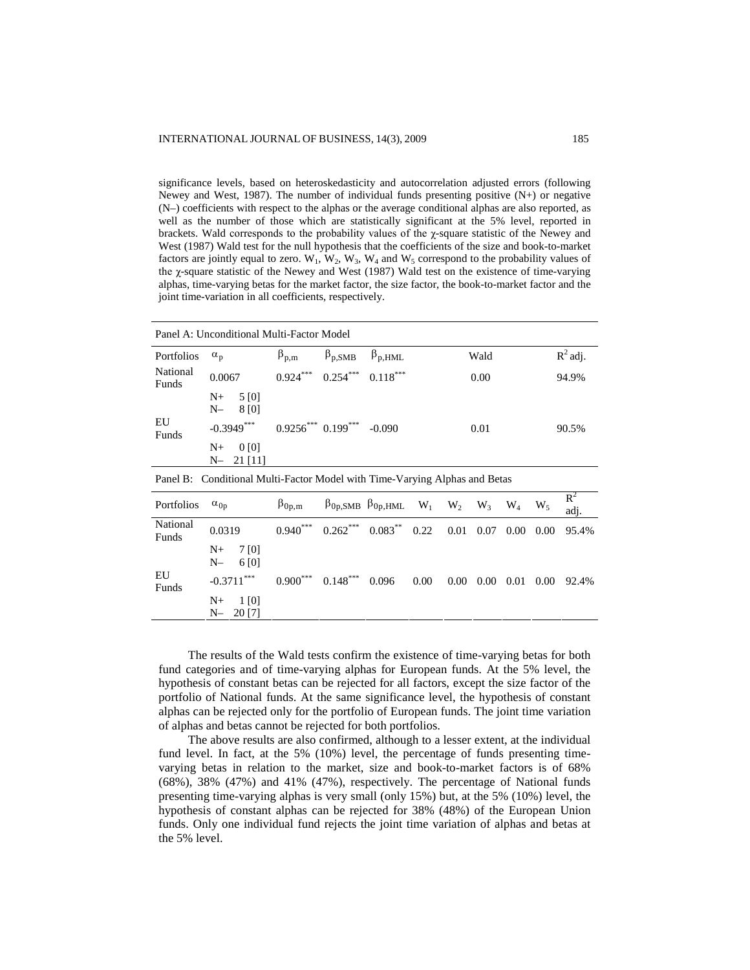significance levels, based on heteroskedasticity and autocorrelation adjusted errors (following Newey and West, 1987). The number of individual funds presenting positive (N+) or negative (N–) coefficients with respect to the alphas or the average conditional alphas are also reported, as well as the number of those which are statistically significant at the 5% level, reported in brackets. Wald corresponds to the probability values of the χ-square statistic of the Newey and West (1987) Wald test for the null hypothesis that the coefficients of the size and book-to-market factors are jointly equal to zero.  $W_1$ ,  $W_2$ ,  $W_3$ ,  $W_4$  and  $W_5$  correspond to the probability values of the χ-square statistic of the Newey and West (1987) Wald test on the existence of time-varying alphas, time-varying betas for the market factor, the size factor, the book-to-market factor and the joint time-variation in all coefficients, respectively.

|                   | Panel A: Unconditional Multi-Factor Model                                  |                      |                            |                                                                   |      |          |          |       |      |               |
|-------------------|----------------------------------------------------------------------------|----------------------|----------------------------|-------------------------------------------------------------------|------|----------|----------|-------|------|---------------|
| Portfolios        | $\alpha_{p}$                                                               | $\beta_{p,m}$        | $\beta_{p, SMB}$           | $\beta_{p, HML}$                                                  |      |          | Wald     |       |      | $R^2$ adj.    |
| National<br>Funds | 0.0067                                                                     | $0.924***$           | $0.254***$                 | $0.118***$                                                        |      |          | 0.00     |       |      | 94.9%         |
|                   | 5 [0]<br>$N_{\pm}$<br>$N-$<br>8 [0]                                        |                      |                            |                                                                   |      |          |          |       |      |               |
| EU<br>Funds       | $-0.3949***$                                                               |                      | $0.9256***0.199***$ -0.090 |                                                                   |      |          | 0.01     |       |      | 90.5%         |
|                   | $N_{\pm}$<br>0 <sub>[0]</sub><br>21 [11]<br>$N-$                           |                      |                            |                                                                   |      |          |          |       |      |               |
|                   | Panel B: Conditional Multi-Factor Model with Time-Varying Alphas and Betas |                      |                            |                                                                   |      |          |          |       |      |               |
| Portfolios        | $\alpha_{0p}$                                                              | $\beta_{0p,m}$       |                            | $\beta_{0p, SMB}$ $\beta_{0p, HML}$ W <sub>1</sub> W <sub>2</sub> |      |          | $W_3$    | $W_4$ | W,   | $R^2$<br>adj. |
| National<br>Funds | 0.0319                                                                     | $0.940***$           | $0.262***$                 | $0.083***$                                                        | 0.22 | 0.01     | 0.07     | 0.00  | 0.00 | 95.4%         |
|                   | $N_{\pm}$<br>7 [0]<br>$N-$<br>6 [0]                                        |                      |                            |                                                                   |      |          |          |       |      |               |
| EU<br>Funds       | $-0.3711***$                                                               | $0.900^\mathrm{***}$ | $0.148***$                 | 0.096                                                             | 0.00 | $0.00\,$ | $0.00\,$ | 0.01  | 0.00 | 92.4%         |
|                   | $N_{\pm}$<br>1 [0]<br>20 [7]<br>$N-$                                       |                      |                            |                                                                   |      |          |          |       |      |               |
|                   |                                                                            |                      |                            |                                                                   |      |          |          |       |      |               |

The results of the Wald tests confirm the existence of time-varying betas for both fund categories and of time-varying alphas for European funds. At the 5% level, the hypothesis of constant betas can be rejected for all factors, except the size factor of the portfolio of National funds. At the same significance level, the hypothesis of constant alphas can be rejected only for the portfolio of European funds. The joint time variation of alphas and betas cannot be rejected for both portfolios.

The above results are also confirmed, although to a lesser extent, at the individual fund level. In fact, at the 5% (10%) level, the percentage of funds presenting timevarying betas in relation to the market, size and book-to-market factors is of 68% (68%), 38% (47%) and 41% (47%), respectively. The percentage of National funds presenting time-varying alphas is very small (only 15%) but, at the 5% (10%) level, the hypothesis of constant alphas can be rejected for 38% (48%) of the European Union funds. Only one individual fund rejects the joint time variation of alphas and betas at the 5% level.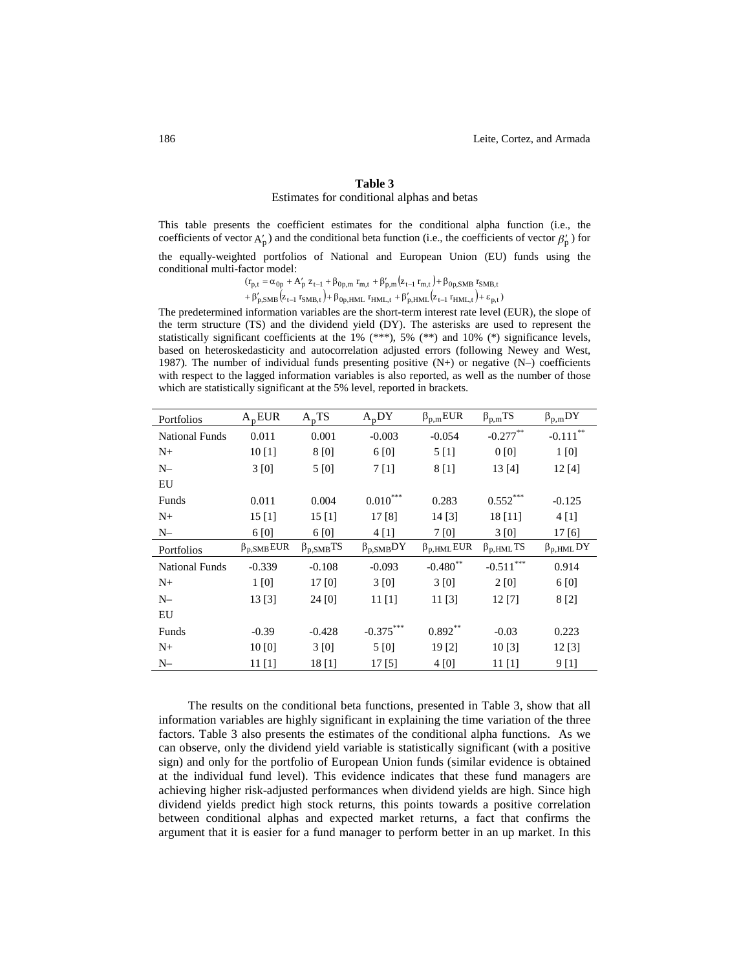## **Table 3** Estimates for conditional alphas and betas

This table presents the coefficient estimates for the conditional alpha function (i.e., the coefficients of vector  $A'_p$ ) and the conditional beta function (i.e., the coefficients of vector  $\beta'_p$ ) for

the equally-weighted portfolios of National and European Union (EU) funds using the conditional multi-factor model:

> $(z_{t-1}r_{m,t}).$  $(r_{n,t} = \alpha_{0n} + A'_n z_{t-1} + \beta_{0n,m} r_{m,t} + \beta'_{n,m} (z_{t-1} r_{m,t}) + \beta_{0n,SNB} r$  $p_{p,t} = \alpha_{0p} + A_p Z_{t-1} + \beta_{0p,m} T_{m,t} + \beta_{p,m} Z_{t-1} T_{m,t} + \beta_{0p,SMB} T_{SMB,t}$  $= \alpha_{0n} + A'_{n} z_{t-1} + \beta_{0n,m} r_{m,t} + \beta'_{n,m} (z_{t-1} r_{m,t}) + \beta$  $-1$  +  $p_{0p,m}$  r<sub>m,t</sub> +  $p_{p,m}$  (z<sub>t-</sub>

 $(z_{t-1} r_{SMB,t}) + \beta_{0n HMI} r_{HMI,t} + \beta'_{n HMI} (z_{t-1} r_{HMI,t}) + \varepsilon_{n,t}$ p,SMB ( $Z_{t-1}$  <code>I</sup>SMB</code>,t J+P0p,HML <code>IHML,t +P</code>p,HML ( $Z_{t-1}$  <code>IHML,t</code> J+  $\epsilon$  <code>p,t</code>  $+\beta'_{\rm D, SNR}(z_{\rm t-1}r_{\rm SNR,t})+\beta_{\rm 0D, HMI}r_{\rm HMI,t}+\beta'_{\rm D,HMI}(z_{\rm t-1}r_{\rm HMI,t})+\epsilon$  $-1$   $\Gamma$ SMB,t  $/$  +  $\Gamma$ Op,HML  $\Gamma$ HML,t  $+$   $\Gamma$ p,HML  $\left(Z_{t-}\right)$ 

The predetermined information variables are the short-term interest rate level (EUR), the slope of the term structure (TS) and the dividend yield (DY). The asterisks are used to represent the statistically significant coefficients at the 1% (\*\*\*), 5% (\*\*) and 10% (\*) significance levels, based on heteroskedasticity and autocorrelation adjusted errors (following Newey and West, 1987). The number of individual funds presenting positive (N+) or negative (N–) coefficients with respect to the lagged information variables is also reported, as well as the number of those which are statistically significant at the 5% level, reported in brackets.

| Portfolios            | $A_p$ EUR            | $A_pTS$             | $A_pDY$              | $\beta_{p,m}$ EUR    | $\beta_{p,m}$ TS    | $\beta_{p,m}DY$        |
|-----------------------|----------------------|---------------------|----------------------|----------------------|---------------------|------------------------|
| <b>National Funds</b> | 0.011                | 0.001               | $-0.003$             | $-0.054$             | $-0.277***$         | $-0.111$ <sup>**</sup> |
| $N+$                  | 10[1]                | 8 [0]               | 6 [0]                | 5[1]                 | 0[0]                | 1[0]                   |
| $N-$                  | 3[0]                 | 5 [0]               | 7[1]                 | 8 [1]                | 13[4]               | 12[4]                  |
| EU                    |                      |                     |                      |                      |                     |                        |
| Funds                 | 0.011                | 0.004               | $0.010^\mathrm{***}$ | 0.283                | $0.552***$          | $-0.125$               |
| $N+$                  | 15[1]                | 15[1]               | 17 [8]               | 14 [3]               | 18 [11]             | 4[1]                   |
| $N-$                  | 6 [0]                | 6 [0]               | 4[1]                 | 7 [0]                | 3[0]                | 17 [6]                 |
| Portfolios            | $\beta_{p, SMB} EUR$ | $\beta_{p, SMB} TS$ | $\beta_{p, SMB}DY$   | $\beta_{p, HML}$ EUR | $\beta_{p, HML}$ TS | $\beta_{p, HML}$ DY    |
| <b>National Funds</b> | $-0.339$             | $-0.108$            | $-0.093$             | $-0.480$ **          | $-0.511***$         | 0.914                  |
| $N+$                  | 1 [0]                | 17 [0]              | 3[0]                 | 3[0]                 | 2 [0]               | 6 [0]                  |
| $N-$                  |                      |                     |                      |                      |                     |                        |
|                       | 13[3]                | 24 [0]              | $11$ [1]             | 11[3]                | 12 [7]              | 8 [2]                  |
| EU                    |                      |                     |                      |                      |                     |                        |
| Funds                 | $-0.39$              | $-0.428$            | $-0.375***$          | $0.892**$            | $-0.03$             | 0.223                  |
| $N+$                  | 10[0]                | 3[0]                | 5 [0]                | 19 [2]               | 10[3]               | 12[3]                  |

The results on the conditional beta functions, presented in Table 3, show that all information variables are highly significant in explaining the time variation of the three factors. Table 3 also presents the estimates of the conditional alpha functions. As we can observe, only the dividend yield variable is statistically significant (with a positive sign) and only for the portfolio of European Union funds (similar evidence is obtained at the individual fund level). This evidence indicates that these fund managers are achieving higher risk-adjusted performances when dividend yields are high. Since high dividend yields predict high stock returns, this points towards a positive correlation between conditional alphas and expected market returns, a fact that confirms the argument that it is easier for a fund manager to perform better in an up market. In this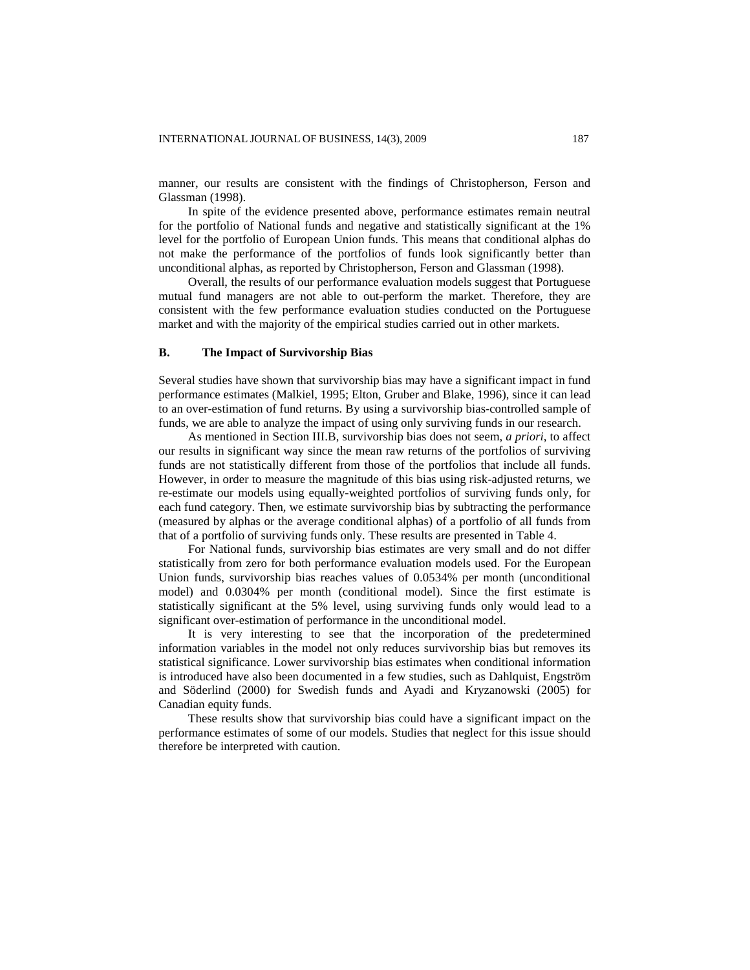manner, our results are consistent with the findings of Christopherson, Ferson and Glassman (1998).

In spite of the evidence presented above, performance estimates remain neutral for the portfolio of National funds and negative and statistically significant at the 1% level for the portfolio of European Union funds. This means that conditional alphas do not make the performance of the portfolios of funds look significantly better than unconditional alphas, as reported by Christopherson, Ferson and Glassman (1998).

Overall, the results of our performance evaluation models suggest that Portuguese mutual fund managers are not able to out-perform the market. Therefore, they are consistent with the few performance evaluation studies conducted on the Portuguese market and with the majority of the empirical studies carried out in other markets.

# **B. The Impact of Survivorship Bias**

Several studies have shown that survivorship bias may have a significant impact in fund performance estimates (Malkiel, 1995; Elton, Gruber and Blake, 1996), since it can lead to an over-estimation of fund returns. By using a survivorship bias-controlled sample of funds, we are able to analyze the impact of using only surviving funds in our research.

As mentioned in Section III.B, survivorship bias does not seem, *a priori*, to affect our results in significant way since the mean raw returns of the portfolios of surviving funds are not statistically different from those of the portfolios that include all funds. However, in order to measure the magnitude of this bias using risk-adjusted returns, we re-estimate our models using equally-weighted portfolios of surviving funds only, for each fund category. Then, we estimate survivorship bias by subtracting the performance (measured by alphas or the average conditional alphas) of a portfolio of all funds from that of a portfolio of surviving funds only. These results are presented in Table 4.

For National funds, survivorship bias estimates are very small and do not differ statistically from zero for both performance evaluation models used. For the European Union funds, survivorship bias reaches values of 0.0534% per month (unconditional model) and 0.0304% per month (conditional model). Since the first estimate is statistically significant at the 5% level, using surviving funds only would lead to a significant over-estimation of performance in the unconditional model.

It is very interesting to see that the incorporation of the predetermined information variables in the model not only reduces survivorship bias but removes its statistical significance. Lower survivorship bias estimates when conditional information is introduced have also been documented in a few studies, such as Dahlquist, Engström and Söderlind (2000) for Swedish funds and Ayadi and Kryzanowski (2005) for Canadian equity funds.

These results show that survivorship bias could have a significant impact on the performance estimates of some of our models. Studies that neglect for this issue should therefore be interpreted with caution.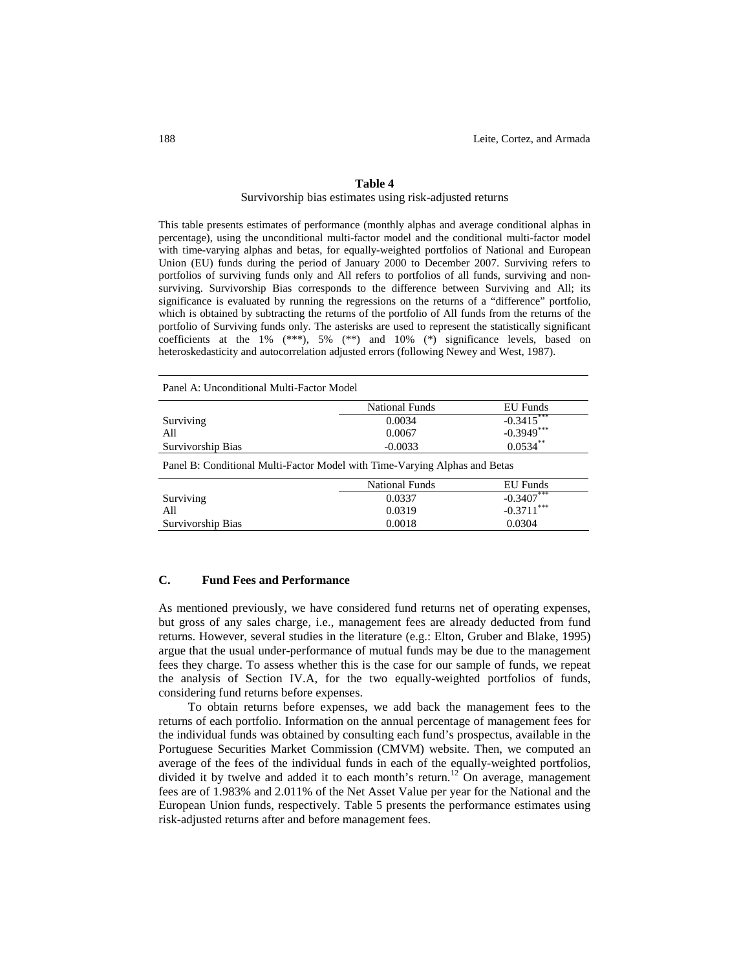#### **Table 4**

#### Survivorship bias estimates using risk-adjusted returns

This table presents estimates of performance (monthly alphas and average conditional alphas in percentage), using the unconditional multi-factor model and the conditional multi-factor model with time-varying alphas and betas, for equally-weighted portfolios of National and European Union (EU) funds during the period of January 2000 to December 2007. Surviving refers to portfolios of surviving funds only and All refers to portfolios of all funds, surviving and nonsurviving. Survivorship Bias corresponds to the difference between Surviving and All; its significance is evaluated by running the regressions on the returns of a "difference" portfolio, which is obtained by subtracting the returns of the portfolio of All funds from the returns of the portfolio of Surviving funds only. The asterisks are used to represent the statistically significant coefficients at the 1%  $(***)$ , 5%  $(**)$  and 10%  $(*)$  significance levels, based on heteroskedasticity and autocorrelation adjusted errors (following Newey and West, 1987).

Panel A: Unconditional Multi-Factor Model

|                                                                            | <b>National Funds</b> | <b>EU</b> Funds |
|----------------------------------------------------------------------------|-----------------------|-----------------|
| Surviving                                                                  | 0.0034                | $-0.3415$       |
| All                                                                        | 0.0067                | $-0.3949***$    |
| Survivorship Bias                                                          | $-0.0033$             | $0.0534***$     |
| Panel B: Conditional Multi-Factor Model with Time-Varying Alphas and Betas |                       |                 |
|                                                                            | <b>National Funds</b> | EU Funds        |
| Surviving                                                                  | 0.0337                | $-0.3407$       |
| All                                                                        | 0.0319                | $-0.3711***$    |
| Survivorship Bias                                                          | 0.0018                | 0.0304          |

# **C. Fund Fees and Performance**

As mentioned previously, we have considered fund returns net of operating expenses, but gross of any sales charge, i.e., management fees are already deducted from fund returns. However, several studies in the literature (e.g.: Elton, Gruber and Blake, 1995) argue that the usual under-performance of mutual funds may be due to the management fees they charge. To assess whether this is the case for our sample of funds, we repeat the analysis of Section IV.A, for the two equally-weighted portfolios of funds, considering fund returns before expenses.

To obtain returns before expenses, we add back the management fees to the returns of each portfolio. Information on the annual percentage of management fees for the individual funds was obtained by consulting each fund's prospectus, available in the Portuguese Securities Market Commission (CMVM) website. Then, we computed an average of the fees of the individual funds in each of the equally-weighted portfolios, divided it by twelve and added it to each month's return.<sup>12</sup> On average, management fees are of 1.983% and 2.011% of the Net Asset Value per year for the National and the European Union funds, respectively. Table 5 presents the performance estimates using risk-adjusted returns after and before management fees.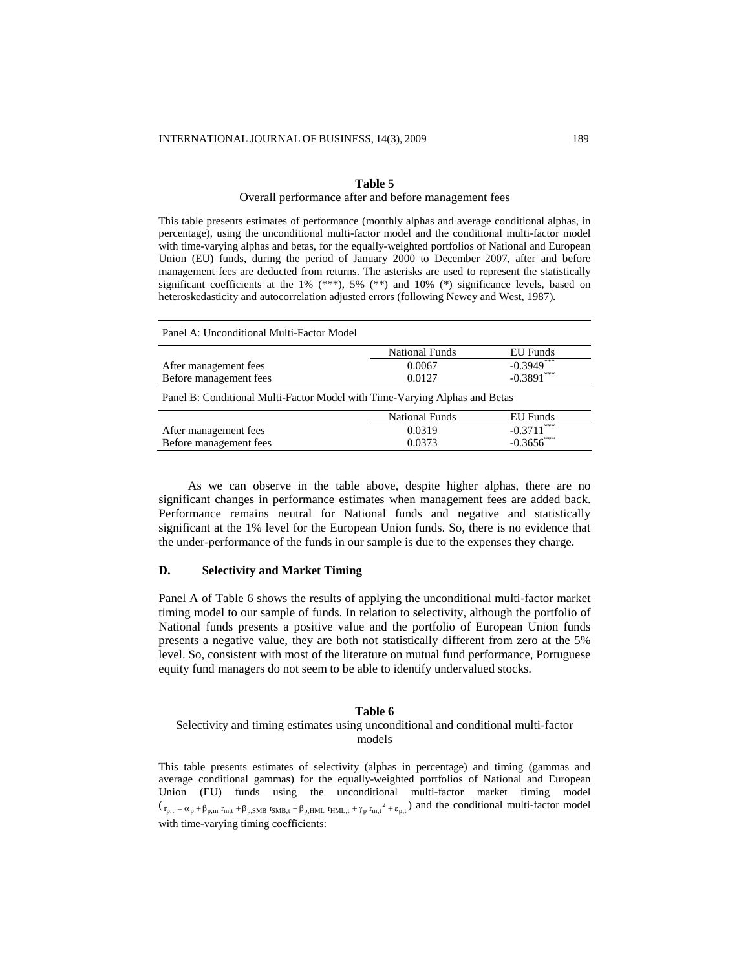# **Table 5**

#### Overall performance after and before management fees

This table presents estimates of performance (monthly alphas and average conditional alphas, in percentage), using the unconditional multi-factor model and the conditional multi-factor model with time-varying alphas and betas, for the equally-weighted portfolios of National and European Union (EU) funds, during the period of January 2000 to December 2007, after and before management fees are deducted from returns. The asterisks are used to represent the statistically significant coefficients at the 1% (\*\*\*), 5% (\*\*) and 10% (\*) significance levels, based on heteroskedasticity and autocorrelation adjusted errors (following Newey and West, 1987).

| Panel A: Unconditional Multi-Factor Model                                  |                       |                          |
|----------------------------------------------------------------------------|-----------------------|--------------------------|
|                                                                            | <b>National Funds</b> | EU Funds                 |
| After management fees                                                      | 0.0067                | $-0.3949$ <sup>***</sup> |
| Before management fees                                                     | 0.0127                | $-0.3891***$             |
| Panel B: Conditional Multi-Factor Model with Time-Varying Alphas and Betas |                       |                          |
|                                                                            | <b>National Funds</b> | <b>EU</b> Funds          |
| After management fees                                                      | 0.0319                | ***<br>$-0.3711$         |
| Before management fees                                                     | 0.0373                | $-0.3656$ ***            |
|                                                                            |                       |                          |

As we can observe in the table above, despite higher alphas, there are no significant changes in performance estimates when management fees are added back. Performance remains neutral for National funds and negative and statistically significant at the 1% level for the European Union funds. So, there is no evidence that the under-performance of the funds in our sample is due to the expenses they charge.

# **D. Selectivity and Market Timing**

Panel A of Table 6 shows the results of applying the unconditional multi-factor market timing model to our sample of funds. In relation to selectivity, although the portfolio of National funds presents a positive value and the portfolio of European Union funds presents a negative value, they are both not statistically different from zero at the 5% level. So, consistent with most of the literature on mutual fund performance, Portuguese equity fund managers do not seem to be able to identify undervalued stocks.

#### **Table 6**

# Selectivity and timing estimates using unconditional and conditional multi-factor models

This table presents estimates of selectivity (alphas in percentage) and timing (gammas and average conditional gammas) for the equally-weighted portfolios of National and European Union (EU) funds using the unconditional multi-factor market timing model  $(\tau_{p,t} = \alpha_p + \beta_{p,m} \tau_{m,t} + \beta_{p,SMB} \tau_{SMB,t} + \beta_{p,HML} \tau_{HML,t} + \gamma_p \tau_{m,t}^2 + \epsilon_{p,t})$  and the conditional multi-factor model with time-varying timing coefficients: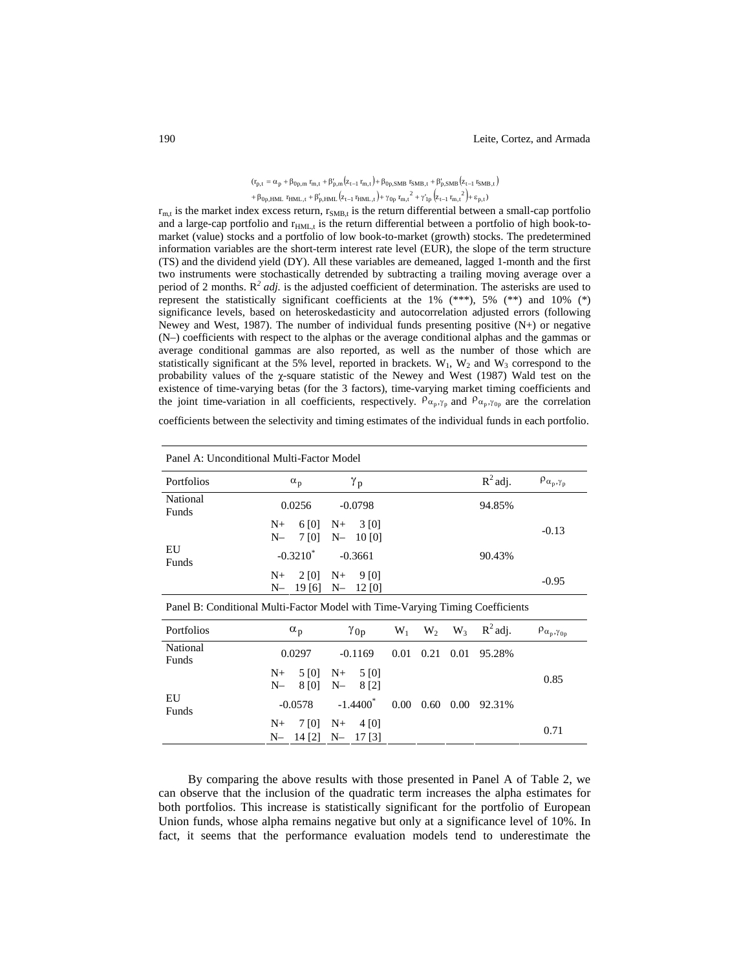# $(r_{p,t} = \alpha_p + \beta_{0p,m} r_{m,t} + \beta'_{p,m} (z_{t-1} r_{m,t}) + \beta_{0p,SMB} r_{SMB,t} + \beta'_{p,SMB} (z_{t-1} r_{SMB,t})$  $+\beta_{0p,HML}$   $r_{HML,t} + \beta'_{p,HML} (z_{t-1} r_{HML,t}) + \gamma_{0p} r_{m,t}^2 + \gamma'_{1p} (z_{t-1} r_{m,t}^2) + \epsilon_{p,t})$

 $r_{m,t}$  is the market index excess return,  $r_{SMB,t}$  is the return differential between a small-cap portfolio and a large-cap portfolio and  $r_{HML,t}$  is the return differential between a portfolio of high book-tomarket (value) stocks and a portfolio of low book-to-market (growth) stocks. The predetermined information variables are the short-term interest rate level (EUR), the slope of the term structure (TS) and the dividend yield (DY). All these variables are demeaned, lagged 1-month and the first two instruments were stochastically detrended by subtracting a trailing moving average over a period of 2 months.  $R^2$  *adj.* is the adjusted coefficient of determination. The asterisks are used to represent the statistically significant coefficients at the  $1\%$  (\*\*\*),  $5\%$  (\*\*) and  $10\%$  (\*) significance levels, based on heteroskedasticity and autocorrelation adjusted errors (following Newey and West, 1987). The number of individual funds presenting positive (N+) or negative (N–) coefficients with respect to the alphas or the average conditional alphas and the gammas or average conditional gammas are also reported, as well as the number of those which are statistically significant at the 5% level, reported in brackets.  $W_1$ ,  $W_2$  and  $W_3$  correspond to the probability values of the  $\chi$ -square statistic of the Newey and West (1987) Wald test on the existence of time-varying betas (for the 3 factors), time-varying market timing coefficients and the joint time-variation in all coefficients, respectively.  $\rho_{\alpha_p, \gamma_p}$  and  $\rho_{\alpha_p, \gamma_{0p}}$  are the correlation

coefficients between the selectivity and timing estimates of the individual funds in each portfolio.

|                   | Panel A: Unconditional Multi-Factor Model                         |            |                             |
|-------------------|-------------------------------------------------------------------|------------|-----------------------------|
| Portfolios        | γ <sub>p</sub><br>$\alpha_p$                                      | $R^2$ adj. | $\rho_{\alpha_p, \gamma_p}$ |
| National<br>Funds | 0.0256<br>$-0.0798$                                               | 94.85%     |                             |
|                   | $6[0]$ N+ 3[0]<br>$N_{+}$<br>$N- 7 [0] N- 10 [0]$                 |            | $-0.13$                     |
| EU<br>Funds       | $-0.3210^*$ $-0.3661$                                             | 90.43%     |                             |
|                   | $2[0]$ N+<br>$N_{+}$<br>- 9 [0]<br>N-<br>19 [6]<br>12 [0]<br>$N-$ |            | $-0.95$                     |

Panel B: Conditional Multi-Factor Model with Time-Varying Timing Coefficients

| Portfolios        |           | $\alpha_{p}$                              | $\gamma_{0p}$    |  | $W_1$ $W_2$ $W_3$ $R^2$ adj.      | $\rho_{\alpha_p, \gamma_{0p}}$ |
|-------------------|-----------|-------------------------------------------|------------------|--|-----------------------------------|--------------------------------|
| National<br>Funds |           | 0.0297                                    | $-0.1169$        |  | 0.01 0.21 0.01 95.28%             |                                |
|                   | $N_{\pm}$ | $N- 8[0]$ $N- 8[2]$                       | $5[0]$ N+ $5[0]$ |  |                                   | 0.85                           |
| EU<br>Funds       |           | $-0.0578$                                 |                  |  | $-1.4400^*$ 0.00 0.60 0.00 92.31% |                                |
|                   | $N_{\pm}$ | $7[0]$ N+ 4[0]<br>$N-$ 14 [2] $N-$ 17 [3] |                  |  |                                   | 0.71                           |

By comparing the above results with those presented in Panel A of Table 2, we can observe that the inclusion of the quadratic term increases the alpha estimates for both portfolios. This increase is statistically significant for the portfolio of European Union funds, whose alpha remains negative but only at a significance level of 10%. In fact, it seems that the performance evaluation models tend to underestimate the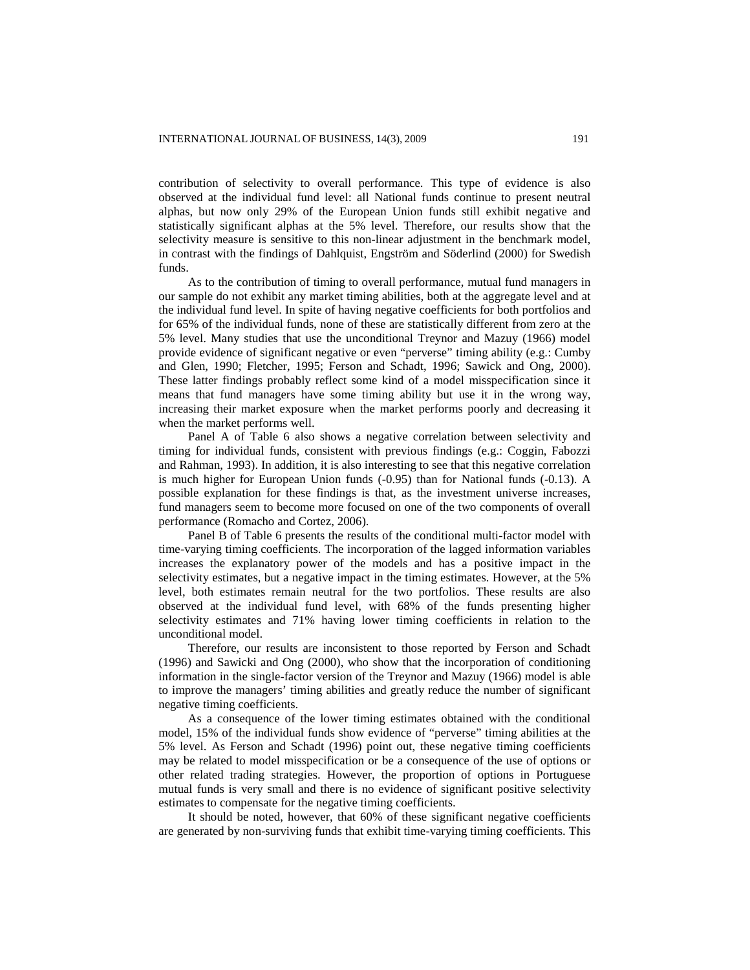contribution of selectivity to overall performance. This type of evidence is also observed at the individual fund level: all National funds continue to present neutral alphas, but now only 29% of the European Union funds still exhibit negative and statistically significant alphas at the 5% level. Therefore, our results show that the selectivity measure is sensitive to this non-linear adjustment in the benchmark model, in contrast with the findings of Dahlquist, Engström and Söderlind (2000) for Swedish funds.

As to the contribution of timing to overall performance, mutual fund managers in our sample do not exhibit any market timing abilities, both at the aggregate level and at the individual fund level. In spite of having negative coefficients for both portfolios and for 65% of the individual funds, none of these are statistically different from zero at the 5% level. Many studies that use the unconditional Treynor and Mazuy (1966) model provide evidence of significant negative or even "perverse" timing ability (e.g.: Cumby and Glen, 1990; Fletcher, 1995; Ferson and Schadt, 1996; Sawick and Ong, 2000). These latter findings probably reflect some kind of a model misspecification since it means that fund managers have some timing ability but use it in the wrong way, increasing their market exposure when the market performs poorly and decreasing it when the market performs well.

Panel A of Table 6 also shows a negative correlation between selectivity and timing for individual funds, consistent with previous findings (e.g.: Coggin, Fabozzi and Rahman, 1993). In addition, it is also interesting to see that this negative correlation is much higher for European Union funds (-0.95) than for National funds (-0.13). A possible explanation for these findings is that, as the investment universe increases, fund managers seem to become more focused on one of the two components of overall performance (Romacho and Cortez, 2006).

Panel B of Table 6 presents the results of the conditional multi-factor model with time-varying timing coefficients. The incorporation of the lagged information variables increases the explanatory power of the models and has a positive impact in the selectivity estimates, but a negative impact in the timing estimates. However, at the 5% level, both estimates remain neutral for the two portfolios. These results are also observed at the individual fund level, with 68% of the funds presenting higher selectivity estimates and 71% having lower timing coefficients in relation to the unconditional model.

Therefore, our results are inconsistent to those reported by Ferson and Schadt (1996) and Sawicki and Ong (2000), who show that the incorporation of conditioning information in the single-factor version of the Treynor and Mazuy (1966) model is able to improve the managers' timing abilities and greatly reduce the number of significant negative timing coefficients.

As a consequence of the lower timing estimates obtained with the conditional model, 15% of the individual funds show evidence of "perverse" timing abilities at the 5% level. As Ferson and Schadt (1996) point out, these negative timing coefficients may be related to model misspecification or be a consequence of the use of options or other related trading strategies. However, the proportion of options in Portuguese mutual funds is very small and there is no evidence of significant positive selectivity estimates to compensate for the negative timing coefficients.

It should be noted, however, that 60% of these significant negative coefficients are generated by non-surviving funds that exhibit time-varying timing coefficients. This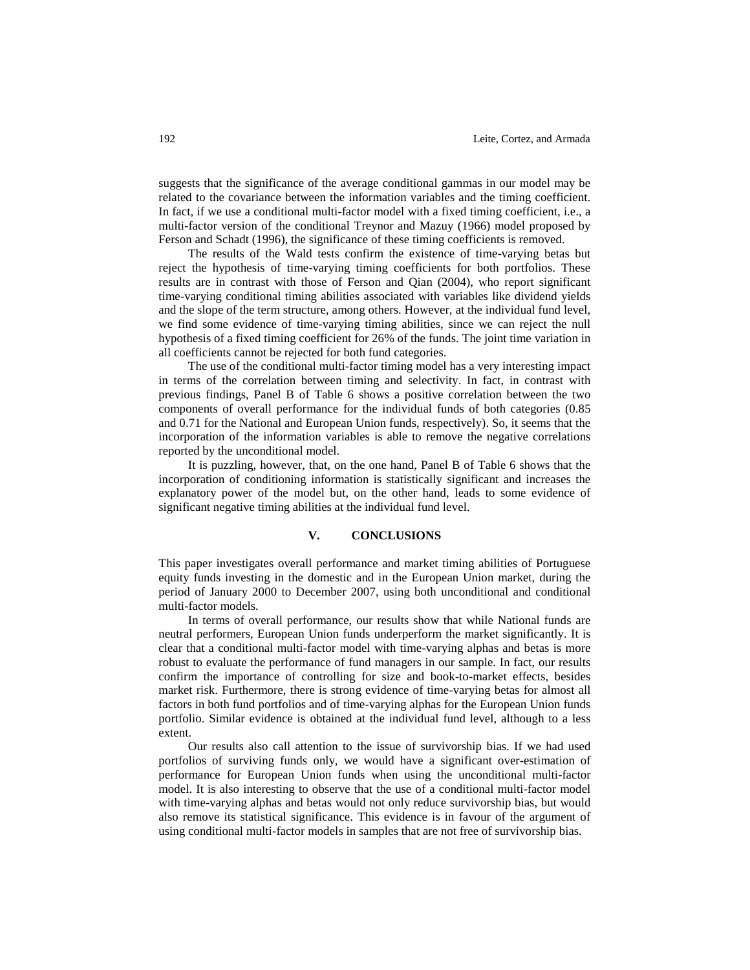suggests that the significance of the average conditional gammas in our model may be related to the covariance between the information variables and the timing coefficient. In fact, if we use a conditional multi-factor model with a fixed timing coefficient, i.e., a multi-factor version of the conditional Treynor and Mazuy (1966) model proposed by Ferson and Schadt (1996), the significance of these timing coefficients is removed.

The results of the Wald tests confirm the existence of time-varying betas but reject the hypothesis of time-varying timing coefficients for both portfolios. These results are in contrast with those of Ferson and Qian (2004), who report significant time-varying conditional timing abilities associated with variables like dividend yields and the slope of the term structure, among others. However, at the individual fund level, we find some evidence of time-varying timing abilities, since we can reject the null hypothesis of a fixed timing coefficient for 26% of the funds. The joint time variation in all coefficients cannot be rejected for both fund categories.

The use of the conditional multi-factor timing model has a very interesting impact in terms of the correlation between timing and selectivity. In fact, in contrast with previous findings, Panel B of Table 6 shows a positive correlation between the two components of overall performance for the individual funds of both categories (0.85 and 0.71 for the National and European Union funds, respectively). So, it seems that the incorporation of the information variables is able to remove the negative correlations reported by the unconditional model.

It is puzzling, however, that, on the one hand, Panel B of Table 6 shows that the incorporation of conditioning information is statistically significant and increases the explanatory power of the model but, on the other hand, leads to some evidence of significant negative timing abilities at the individual fund level.

#### **V. CONCLUSIONS**

This paper investigates overall performance and market timing abilities of Portuguese equity funds investing in the domestic and in the European Union market, during the period of January 2000 to December 2007, using both unconditional and conditional multi-factor models.

In terms of overall performance, our results show that while National funds are neutral performers, European Union funds underperform the market significantly. It is clear that a conditional multi-factor model with time-varying alphas and betas is more robust to evaluate the performance of fund managers in our sample. In fact, our results confirm the importance of controlling for size and book-to-market effects, besides market risk. Furthermore, there is strong evidence of time-varying betas for almost all factors in both fund portfolios and of time-varying alphas for the European Union funds portfolio. Similar evidence is obtained at the individual fund level, although to a less extent.

Our results also call attention to the issue of survivorship bias. If we had used portfolios of surviving funds only, we would have a significant over-estimation of performance for European Union funds when using the unconditional multi-factor model. It is also interesting to observe that the use of a conditional multi-factor model with time-varying alphas and betas would not only reduce survivorship bias, but would also remove its statistical significance. This evidence is in favour of the argument of using conditional multi-factor models in samples that are not free of survivorship bias.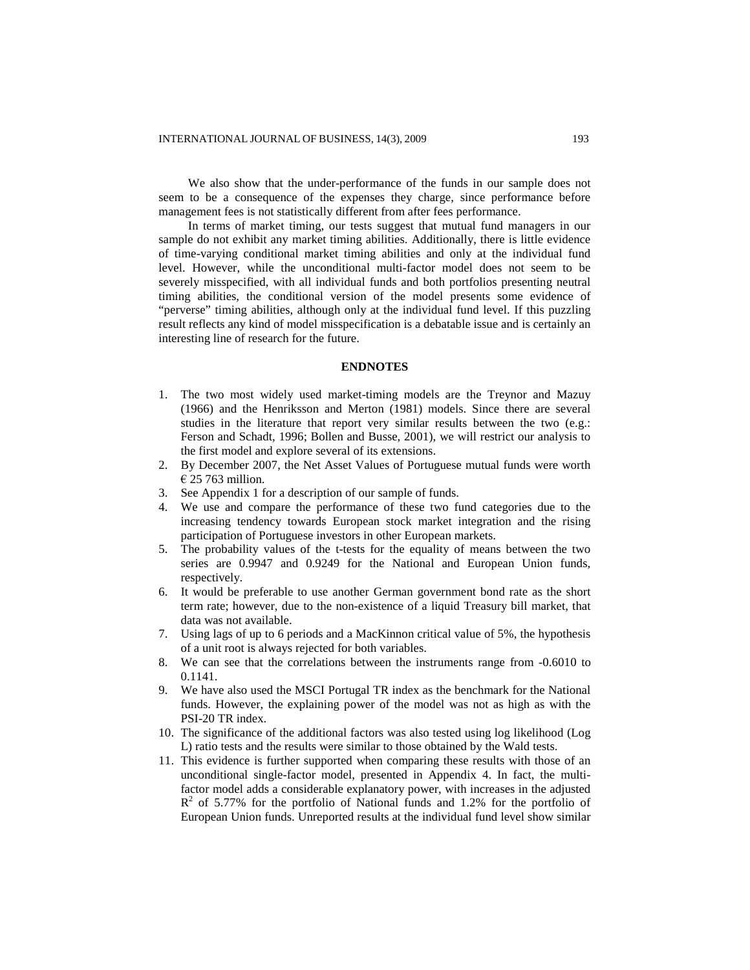We also show that the under-performance of the funds in our sample does not seem to be a consequence of the expenses they charge, since performance before management fees is not statistically different from after fees performance.

In terms of market timing, our tests suggest that mutual fund managers in our sample do not exhibit any market timing abilities. Additionally, there is little evidence of time-varying conditional market timing abilities and only at the individual fund level. However, while the unconditional multi-factor model does not seem to be severely misspecified, with all individual funds and both portfolios presenting neutral timing abilities, the conditional version of the model presents some evidence of "perverse" timing abilities, although only at the individual fund level. If this puzzling result reflects any kind of model misspecification is a debatable issue and is certainly an interesting line of research for the future.

# **ENDNOTES**

- 1. The two most widely used market-timing models are the Treynor and Mazuy (1966) and the Henriksson and Merton (1981) models. Since there are several studies in the literature that report very similar results between the two (e.g.: Ferson and Schadt, 1996; Bollen and Busse, 2001), we will restrict our analysis to the first model and explore several of its extensions.
- 2. By December 2007, the Net Asset Values of Portuguese mutual funds were worth € 25 763 million.
- 3. See Appendix 1 for a description of our sample of funds.
- 4. We use and compare the performance of these two fund categories due to the increasing tendency towards European stock market integration and the rising participation of Portuguese investors in other European markets.
- 5. The probability values of the t-tests for the equality of means between the two series are 0.9947 and 0.9249 for the National and European Union funds, respectively.
- 6. It would be preferable to use another German government bond rate as the short term rate; however, due to the non-existence of a liquid Treasury bill market, that data was not available.
- 7. Using lags of up to 6 periods and a MacKinnon critical value of 5%, the hypothesis of a unit root is always rejected for both variables.
- 8. We can see that the correlations between the instruments range from -0.6010 to 0.1141.
- 9. We have also used the MSCI Portugal TR index as the benchmark for the National funds. However, the explaining power of the model was not as high as with the PSI-20 TR index.
- 10. The significance of the additional factors was also tested using log likelihood (Log L) ratio tests and the results were similar to those obtained by the Wald tests.
- 11. This evidence is further supported when comparing these results with those of an unconditional single-factor model, presented in Appendix 4. In fact, the multifactor model adds a considerable explanatory power, with increases in the adjusted  $R<sup>2</sup>$  of 5.77% for the portfolio of National funds and 1.2% for the portfolio of European Union funds. Unreported results at the individual fund level show similar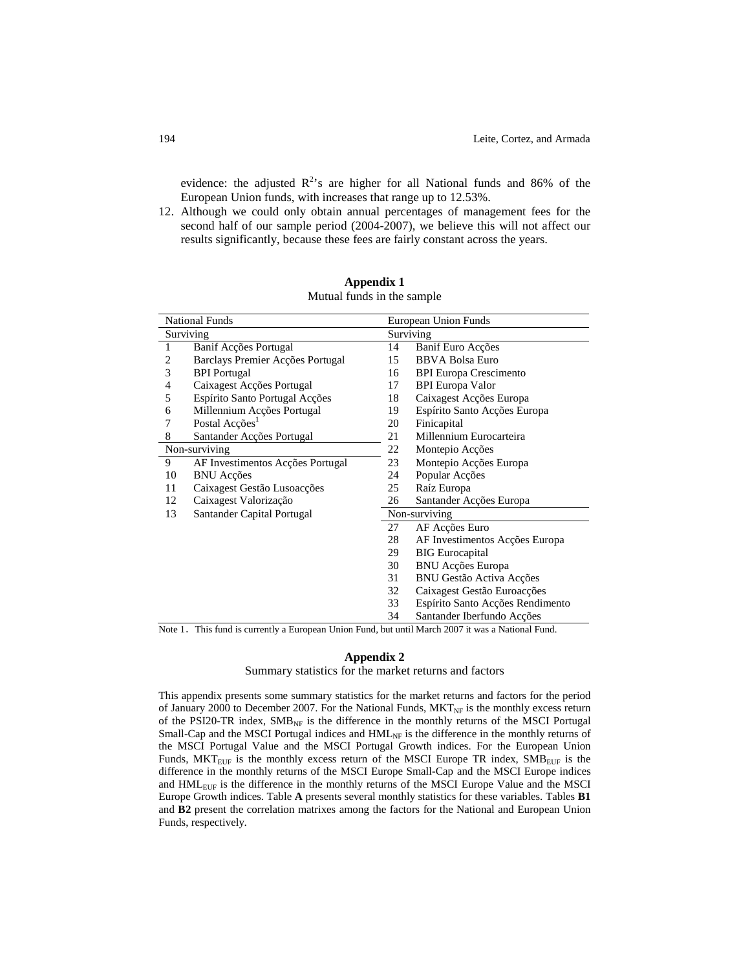evidence: the adjusted  $R^2$ 's are higher for all National funds and 86% of the European Union funds, with increases that range up to 12.53%.

12. Although we could only obtain annual percentages of management fees for the second half of our sample period (2004-2007), we believe this will not affect our results significantly, because these fees are fairly constant across the years.

|    | <b>National Funds</b>            |    | European Union Funds             |
|----|----------------------------------|----|----------------------------------|
|    | Surviving                        |    | Surviving                        |
| 1  | Banif Acções Portugal            | 14 | Banif Euro Acções                |
| 2  | Barclays Premier Acções Portugal | 15 | <b>BBVA Bolsa Euro</b>           |
| 3  | <b>BPI</b> Portugal              | 16 | <b>BPI Europa Crescimento</b>    |
| 4  | Caixagest Acções Portugal        | 17 | <b>BPI</b> Europa Valor          |
| 5  | Espírito Santo Portugal Acções   | 18 | Caixagest Acções Europa          |
| 6  | Millennium Acções Portugal       | 19 | Espírito Santo Acções Europa     |
| 7  | Postal Acções <sup>1</sup>       | 20 | Finicapital                      |
| 8  | Santander Acções Portugal        | 21 | Millennium Eurocarteira          |
|    | Non-surviving                    | 22 | Montepio Acções                  |
| 9  | AF Investimentos Acções Portugal | 23 | Montepio Acções Europa           |
| 10 | <b>BNU</b> Acções                | 24 | Popular Acções                   |
| 11 | Caixagest Gestão Lusoacções      | 25 | Raíz Europa                      |
| 12 | Caixagest Valorização            | 26 | Santander Acções Europa          |
| 13 | Santander Capital Portugal       |    | Non-surviving                    |
|    |                                  | 27 | AF Acções Euro                   |
|    |                                  | 28 | AF Investimentos Acções Europa   |
|    |                                  | 29 | <b>BIG</b> Eurocapital           |
|    |                                  | 30 | <b>BNU Acções Europa</b>         |
|    |                                  | 31 | <b>BNU Gestão Activa Acções</b>  |
|    |                                  | 32 | Caixagest Gestão Euroacções      |
|    |                                  | 33 | Espírito Santo Acções Rendimento |
|    |                                  | 34 | Santander Iberfundo Accões       |

**Appendix 1** Mutual funds in the sample

Note 1. This fund is currently a European Union Fund, but until March 2007 it was a National Fund.

# **Appendix 2**

Summary statistics for the market returns and factors

This appendix presents some summary statistics for the market returns and factors for the period of January 2000 to December 2007. For the National Funds,  $MKT_{NF}$  is the monthly excess return of the PSI20-TR index,  $SMB_{NF}$  is the difference in the monthly returns of the MSCI Portugal Small-Cap and the MSCI Portugal indices and  $HML<sub>NF</sub>$  is the difference in the monthly returns of the MSCI Portugal Value and the MSCI Portugal Growth indices. For the European Union Funds,  $MKT<sub>EUF</sub>$  is the monthly excess return of the MSCI Europe TR index,  $SMB<sub>EUF</sub>$  is the difference in the monthly returns of the MSCI Europe Small-Cap and the MSCI Europe indices and HMLEUF is the difference in the monthly returns of the MSCI Europe Value and the MSCI Europe Growth indices. Table **A** presents several monthly statistics for these variables. Tables **B1** and **B2** present the correlation matrixes among the factors for the National and European Union Funds, respectively.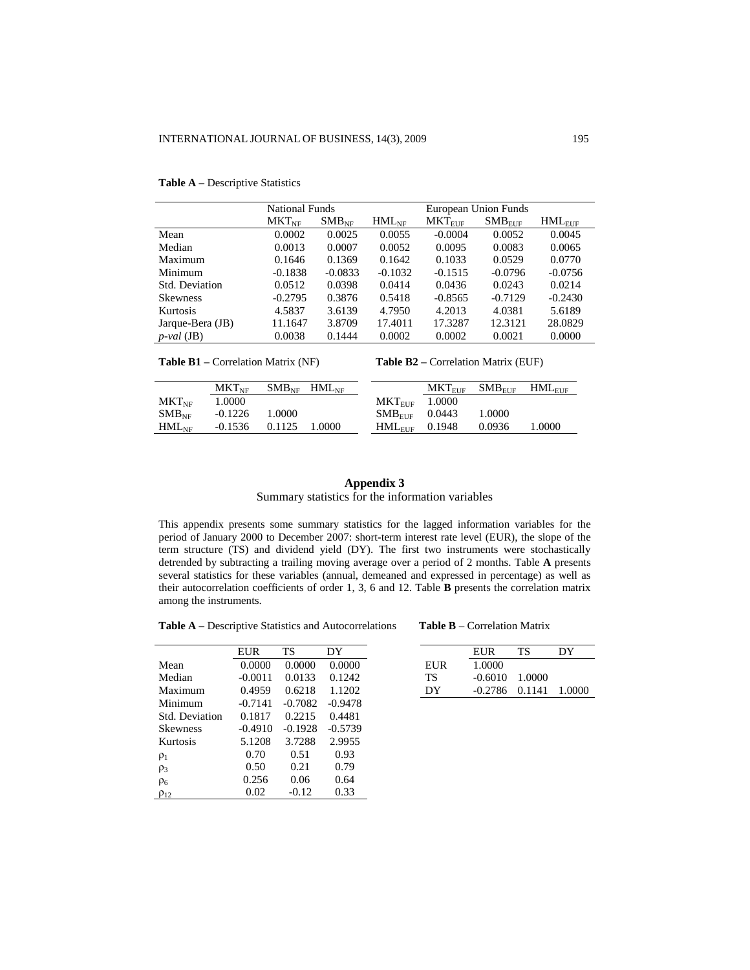|                  | <b>National Funds</b> |            |            |             | European Union Funds |             |
|------------------|-----------------------|------------|------------|-------------|----------------------|-------------|
|                  | $MKT_{NF}$            | $SMB_{NF}$ | $HML_{NF}$ | $MKT_{EUF}$ | $SMB_{EUF}$          | $HML_{EUF}$ |
| Mean             | 0.0002                | 0.0025     | 0.0055     | $-0.0004$   | 0.0052               | 0.0045      |
| Median           | 0.0013                | 0.0007     | 0.0052     | 0.0095      | 0.0083               | 0.0065      |
| Maximum          | 0.1646                | 0.1369     | 0.1642     | 0.1033      | 0.0529               | 0.0770      |
| Minimum          | $-0.1838$             | $-0.0833$  | $-0.1032$  | $-0.1515$   | $-0.0796$            | $-0.0756$   |
| Std. Deviation   | 0.0512                | 0.0398     | 0.0414     | 0.0436      | 0.0243               | 0.0214      |
| <b>Skewness</b>  | $-0.2795$             | 0.3876     | 0.5418     | $-0.8565$   | $-0.7129$            | $-0.2430$   |
| Kurtosis         | 4.5837                | 3.6139     | 4.7950     | 4.2013      | 4.0381               | 5.6189      |
| Jarque-Bera (JB) | 11.1647               | 3.8709     | 17.4011    | 17.3287     | 12.3121              | 28.0829     |
| $p$ -val (JB)    | 0.0038                | 0.1444     | 0.0002     | 0.0002      | 0.0021               | 0.0000      |
|                  |                       |            |            |             |                      |             |

#### **Table A –** Descriptive Statistics

**Table B2** – Correlation Matrix (EUF)

|                | $MKT_{\rm NF}$ |        | $SMB_{\text{NE}}$ HML <sub>NE</sub> |                     | $MKT_{\rm EHF}$ | $SMB_{\rm EHF}$ | $HML_{\rm{EHF}}$ |
|----------------|----------------|--------|-------------------------------------|---------------------|-----------------|-----------------|------------------|
| $MKT_{\rm NF}$ | 1.0000         |        |                                     | $MKT$ FIF           | 1.0000          |                 |                  |
| $SMB_{\rm NF}$ | $-0.1226$      | 1.0000 |                                     | $SMBFIT$ 0.0443     |                 | 1.0000          |                  |
| $HML_{NF}$     | $-0.1536$      | 0.1125 | 1.0000                              | $HML_{EIIF}$ 0.1948 |                 | 0.0936          | 1.0000           |
|                |                |        |                                     |                     |                 |                 |                  |

# **Appendix 3** Summary statistics for the information variables

This appendix presents some summary statistics for the lagged information variables for the period of January 2000 to December 2007: short-term interest rate level (EUR), the slope of the term structure (TS) and dividend yield (DY). The first two instruments were stochastically detrended by subtracting a trailing moving average over a period of 2 months. Table **A** presents several statistics for these variables (annual, demeaned and expressed in percentage) as well as their autocorrelation coefficients of order 1, 3, 6 and 12. Table **B** presents the correlation matrix among the instruments.

**Table A –** Descriptive Statistics and Autocorrelations **Table B** – Correlation Matrix

|                 | <b>EUR</b> | TS        | DY.       |
|-----------------|------------|-----------|-----------|
| Mean            | 0.0000     | 0.0000    | 0.0000    |
| Median          | $-0.0011$  | 0.0133    | 0.1242    |
| Maximum         | 0.4959     | 0.6218    | 1.1202    |
| Minimum         | $-0.7141$  | $-0.7082$ | $-0.9478$ |
| Std. Deviation  | 0.1817     | 0.2215    | 0.4481    |
| <b>Skewness</b> | $-0.4910$  | $-0.1928$ | $-0.5739$ |
| Kurtosis        | 5.1208     | 3.7288    | 2.9955    |
| $\rho_1$        | 0.70       | 0.51      | 0.93      |
| $\rho_3$        | 0.50       | 0.21      | 0.79      |
| $\rho_6$        | 0.256      | 0.06      | 0.64      |
| $\rho_{12}$     | 0.02       | $-0.12$   | 0.33      |

| EUR    | TS.                         | DY.    |     | EUR                         | ТS | DΥ |
|--------|-----------------------------|--------|-----|-----------------------------|----|----|
| 0.0000 | 0.0000                      | 0.0000 | EUR | 1.0000                      |    |    |
|        | $-0.0011$ $0.0133$ $0.1242$ |        | ТS  | $-0.6010 - 1.0000$          |    |    |
|        | $0.4959$ $0.6218$           | 1.1202 | DΥ  | $-0.2786$ $0.1141$ $1.0000$ |    |    |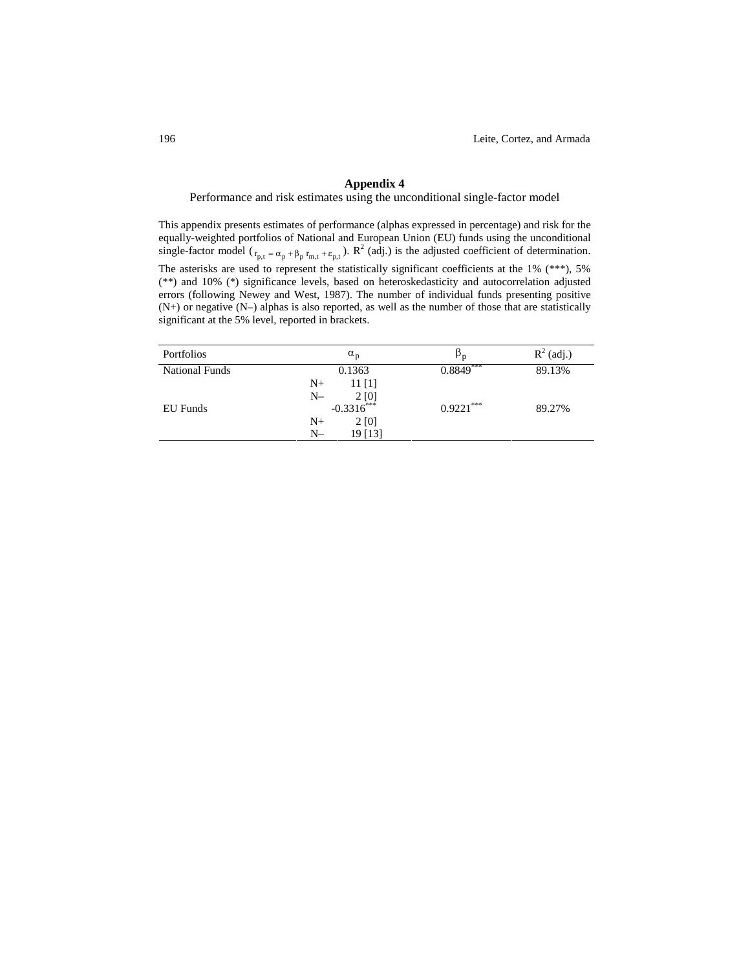# **Appendix 4**

Performance and risk estimates using the unconditional single-factor model

This appendix presents estimates of performance (alphas expressed in percentage) and risk for the equally-weighted portfolios of National and European Union (EU) funds using the unconditional single-factor model ( $r_{p,t} = \alpha_p + \beta_p r_{m,t} + \varepsilon_{p,t}$ ). R<sup>2</sup> (adj.) is the adjusted coefficient of determination.

The asterisks are used to represent the statistically significant coefficients at the 1% (\*\*\*), 5% (\*\*) and 10% (\*) significance levels, based on heteroskedasticity and autocorrelation adjusted errors (following Newey and West, 1987). The number of individual funds presenting positive (N+) or negative (N–) alphas is also reported, as well as the number of those that are statistically significant at the 5% level, reported in brackets.

| Portfolios            | $\alpha_{p}$                             | $\upbeta_{\mathrm{p}}$ | $R^2$ (adj.) |
|-----------------------|------------------------------------------|------------------------|--------------|
| <b>National Funds</b> | 0.1363                                   | $0.8849***$            | 89.13%       |
|                       | $N+$<br>$11$ [1]                         |                        |              |
|                       | $N-$<br>$2[0]$<br>-0.3316 <sup>***</sup> |                        |              |
| EU Funds              |                                          | $0.9221***$            | 89.27%       |
|                       | $N_{+}$<br>2 [0]                         |                        |              |
|                       | $N-$<br>19 [13]                          |                        |              |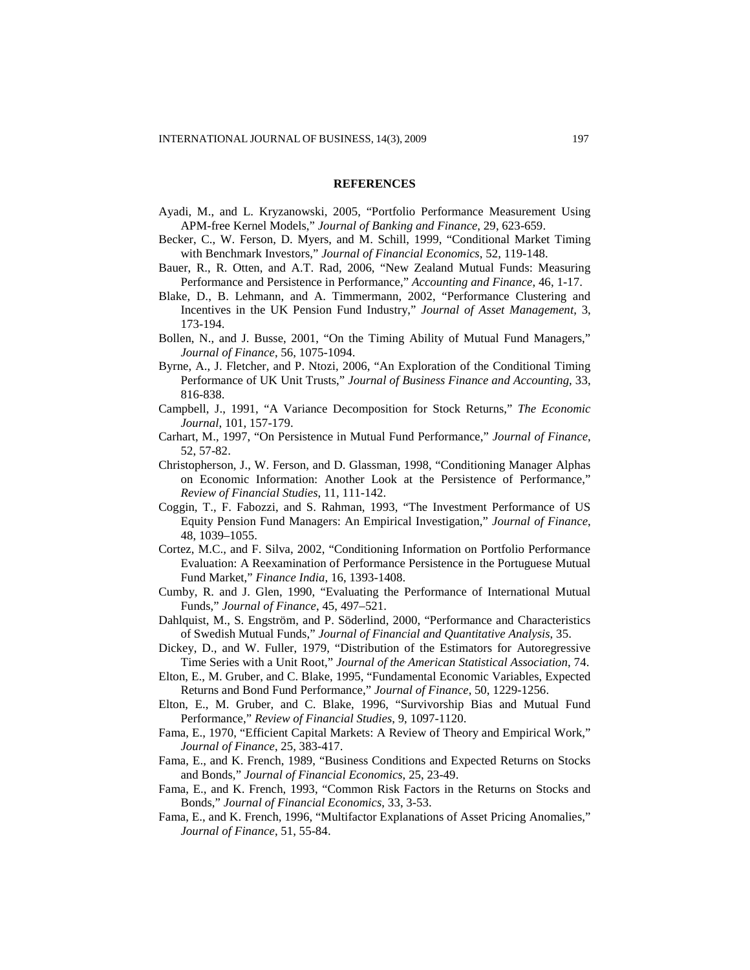#### **REFERENCES**

- Ayadi, M., and L. Kryzanowski, 2005, "Portfolio Performance Measurement Using APM-free Kernel Models," *Journal of Banking and Finance*, 29, 623-659.
- Becker, C., W. Ferson, D. Myers, and M. Schill, 1999, "Conditional Market Timing with Benchmark Investors," *Journal of Financial Economics*, 52, 119-148.
- Bauer, R., R. Otten, and A.T. Rad, 2006, "New Zealand Mutual Funds: Measuring Performance and Persistence in Performance," *Accounting and Finance*, 46, 1-17.
- Blake, D., B. Lehmann, and A. Timmermann, 2002, "Performance Clustering and Incentives in the UK Pension Fund Industry," *Journal of Asset Management*, 3, 173-194.
- Bollen, N., and J. Busse, 2001, "On the Timing Ability of Mutual Fund Managers," *Journal of Finance*, 56, 1075-1094.
- Byrne, A., J. Fletcher, and P. Ntozi, 2006, "An Exploration of the Conditional Timing Performance of UK Unit Trusts," *Journal of Business Finance and Accounting*, 33, 816-838.
- Campbell, J., 1991, "A Variance Decomposition for Stock Returns," *The Economic Journal*, 101, 157-179.
- Carhart, M., 1997, "On Persistence in Mutual Fund Performance," *Journal of Finance*, 52, 57-82.
- Christopherson, J., W. Ferson, and D. Glassman, 1998, "Conditioning Manager Alphas on Economic Information: Another Look at the Persistence of Performance," *Review of Financial Studies*, 11, 111-142.
- Coggin, T., F. Fabozzi, and S. Rahman, 1993, "The Investment Performance of US Equity Pension Fund Managers: An Empirical Investigation," *Journal of Finance*, 48, 1039–1055.
- Cortez, M.C., and F. Silva, 2002, "Conditioning Information on Portfolio Performance Evaluation: A Reexamination of Performance Persistence in the Portuguese Mutual Fund Market," *Finance India*, 16, 1393-1408.
- Cumby, R. and J. Glen, 1990, "Evaluating the Performance of International Mutual Funds," *Journal of Finance*, 45, 497–521.
- Dahlquist, M., S. Engström, and P. Söderlind, 2000, "Performance and Characteristics of Swedish Mutual Funds," *Journal of Financial and Quantitative Analysis*, 35.
- Dickey, D., and W. Fuller, 1979, "Distribution of the Estimators for Autoregressive Time Series with a Unit Root," *Journal of the American Statistical Association*, 74.
- Elton, E., M. Gruber, and C. Blake, 1995, "Fundamental Economic Variables, Expected Returns and Bond Fund Performance," *Journal of Finance*, 50, 1229-1256.
- Elton, E., M. Gruber, and C. Blake, 1996, "Survivorship Bias and Mutual Fund Performance," *Review of Financial Studies*, 9, 1097-1120.
- Fama, E., 1970, "Efficient Capital Markets: A Review of Theory and Empirical Work," *Journal of Finance*, 25, 383-417.
- Fama, E., and K. French, 1989, "Business Conditions and Expected Returns on Stocks and Bonds," *Journal of Financial Economics*, 25, 23-49.
- Fama, E., and K. French, 1993, "Common Risk Factors in the Returns on Stocks and Bonds," *Journal of Financial Economics*, 33, 3-53.
- Fama, E., and K. French, 1996, "Multifactor Explanations of Asset Pricing Anomalies," *Journal of Finance*, 51, 55-84.